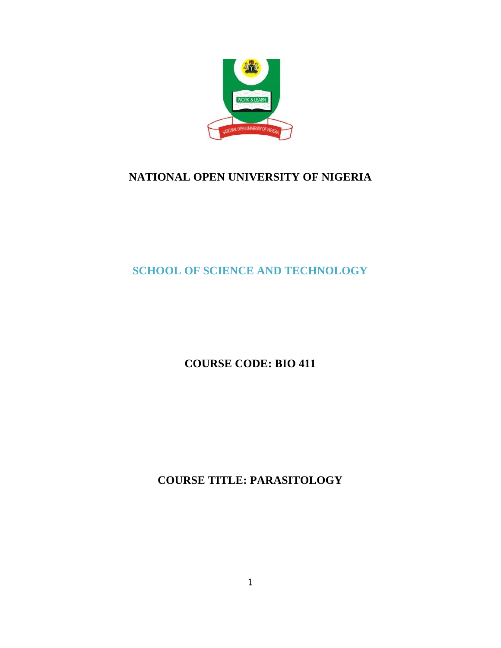

# **NATIONAL OPEN UNIVERSITY OF NIGERIA**

**SCHOOL OF SCIENCE AND TECHNOLOGY**

**COURSE CODE: BIO 411**

**COURSE TITLE: PARASITOLOGY**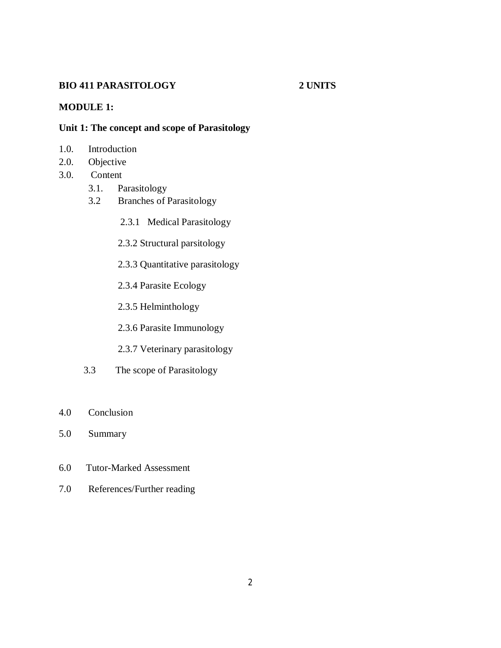#### **BIO 411 PARASITOLOGY 2 UNITS**

#### **MODULE 1:**

### **Unit 1: The concept and scope of Parasitology**

- 1.0. Introduction
- 2.0. Objective
- 3.0. Content
	- 3.1. Parasitology
	- 3.2 Branches of Parasitology
		- 2.3.1 Medical Parasitology
		- 2.3.2 Structural parsitology
		- 2.3.3 Quantitative parasitology
		- 2.3.4 Parasite Ecology
		- 2.3.5 Helminthology
		- 2.3.6 Parasite Immunology
		- 2.3.7 Veterinary parasitology
	- 3.3 The scope of Parasitology
- 4.0 Conclusion
- 5.0 Summary
- 6.0 Tutor-Marked Assessment
- 7.0 References/Further reading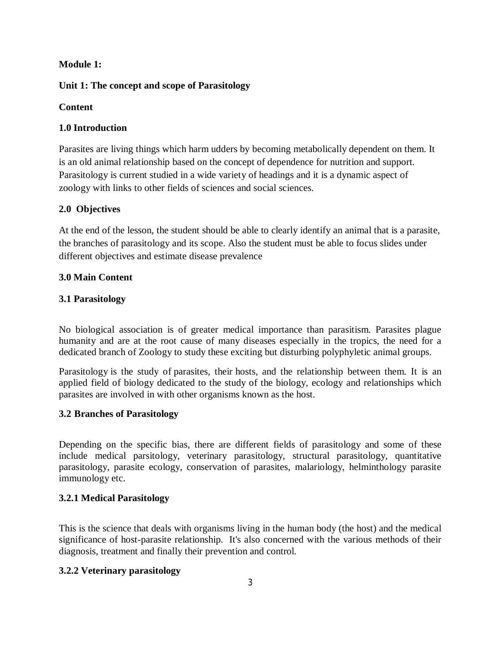### **Module 1:**

### **Unit 1: The concept and scope of Parasitology**

### **Content**

### **1.0 Introduction**

Parasites are living things which harm udders by becoming metabolically dependent on them. It is an old animal relationship based on the concept of dependence for nutrition and support. Parasitology is current studied in a wide variety of headings and it is a dynamic aspect of zoology with links to other fields of sciences and social sciences.

### **2.0 Objectives**

At the end of the lesson, the student should be able to clearly identify an animal that is a parasite, the branches of parasitology and its scope. Also the student must be able to focus slides under different objectives and estimate disease prevalence

### **3.0 Main Content**

### **3.1 Parasitology**

No biological association is of greater medical importance than parasitism. Parasites plague humanity and are at the root cause of many diseases especially in the tropics, the need for a dedicated branch of Zoology to study these exciting but disturbing polyphyletic animal groups.

Parasitology is the study of parasites, their hosts, and the relationship between them. It is an applied field of biology dedicated to the study of the biology, ecology and relationships which parasites are involved in with other organisms known as the host.

### **3.2 Branches of Parasitology**

Depending on the specific bias, there are different fields of parasitology and some of these include medical parsitology, veterinary parasitology, structural parasitology, quantitative parasitology, parasite ecology, conservation of parasites, malariology, helminthology parasite immunology etc.

### **3.2.1 Medical Parasitology**

This is the science that deals with organisms living in the human body (the host) and the medical significance of host-parasite relationship. It's also concerned with the various methods of their diagnosis, treatment and finally their prevention and control.

### **3.2.2 Veterinary parasitology**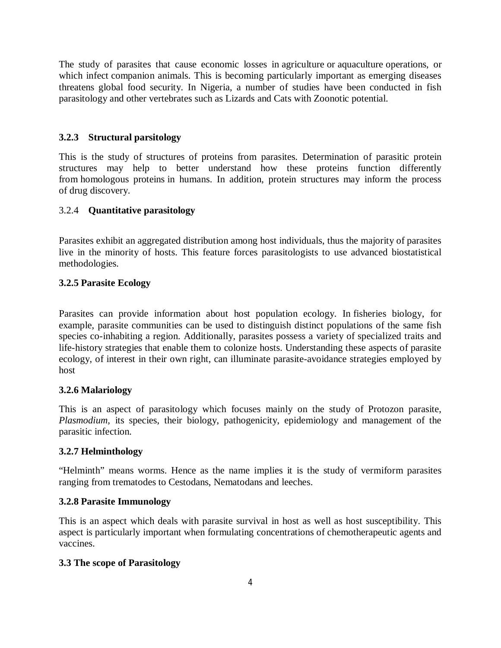The study of parasites that cause economic losses in agriculture or aquaculture operations, or which infect companion animals. This is becoming particularly important as emerging diseases threatens global food security. In Nigeria, a number of studies have been conducted in fish parasitology and other vertebrates such as Lizards and Cats with Zoonotic potential.

### **3.2.3 Structural parsitology**

This is the study of structures of proteins from parasites. Determination of parasitic protein structures may help to better understand how these proteins function differently from homologous proteins in humans. In addition, protein structures may inform the process of drug discovery.

### 3.2.4 **Quantitative parasitology**

Parasites exhibit an aggregated distribution among host individuals, thus the majority of parasites live in the minority of hosts. This feature forces parasitologists to use advanced biostatistical methodologies.

### **3.2.5 Parasite Ecology**

Parasites can provide information about host population ecology. In fisheries biology, for example, parasite communities can be used to distinguish distinct populations of the same fish species co-inhabiting a region. Additionally, parasites possess a variety of specialized traits and life-history strategies that enable them to colonize hosts. Understanding these aspects of parasite ecology, of interest in their own right, can illuminate parasite-avoidance strategies employed by host

### **3.2.6 Malariology**

This is an aspect of parasitology which focuses mainly on the study of Protozon parasite, *Plasmodium*, its species, their biology, pathogenicity, epidemiology and management of the parasitic infection.

### **3.2.7 Helminthology**

"Helminth" means worms. Hence as the name implies it is the study of vermiform parasites ranging from trematodes to Cestodans, Nematodans and leeches.

### **3.2.8 Parasite Immunology**

This is an aspect which deals with parasite survival in host as well as host susceptibility. This aspect is particularly important when formulating concentrations of chemotherapeutic agents and vaccines.

### **3.3 The scope of Parasitology**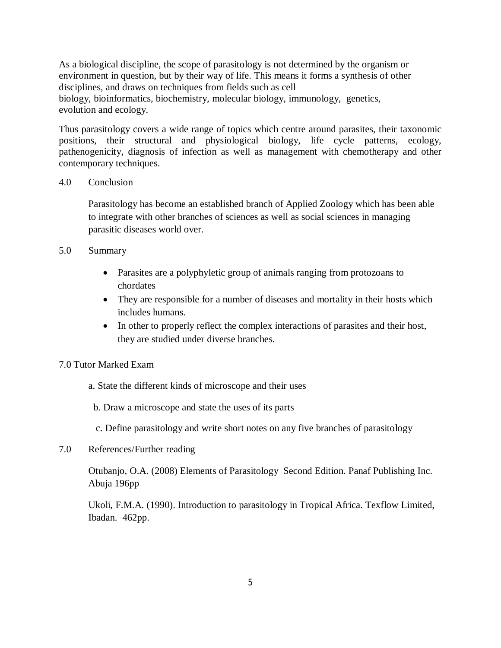As a biological discipline, the scope of parasitology is not determined by the organism or environment in question, but by their way of life. This means it forms a synthesis of other disciplines, and draws on techniques from fields such as cell biology, bioinformatics, biochemistry, molecular biology, immunology, genetics, evolution and ecology.

Thus parasitology covers a wide range of topics which centre around parasites, their taxonomic positions, their structural and physiological biology, life cycle patterns, ecology, pathenogenicity, diagnosis of infection as well as management with chemotherapy and other contemporary techniques.

#### 4.0 Conclusion

Parasitology has become an established branch of Applied Zoology which has been able to integrate with other branches of sciences as well as social sciences in managing parasitic diseases world over.

- 5.0 Summary
	- Parasites are a polyphyletic group of animals ranging from protozoans to chordates
	- They are responsible for a number of diseases and mortality in their hosts which includes humans.
	- In other to properly reflect the complex interactions of parasites and their host, they are studied under diverse branches.

### 7.0 Tutor Marked Exam

- a. State the different kinds of microscope and their uses
- b. Draw a microscope and state the uses of its parts
- c. Define parasitology and write short notes on any five branches of parasitology
- 7.0 References/Further reading

Otubanjo, O.A. (2008) Elements of Parasitology Second Edition. Panaf Publishing Inc. Abuja 196pp

Ukoli, F.M.A. (1990). Introduction to parasitology in Tropical Africa. Texflow Limited, Ibadan. 462pp.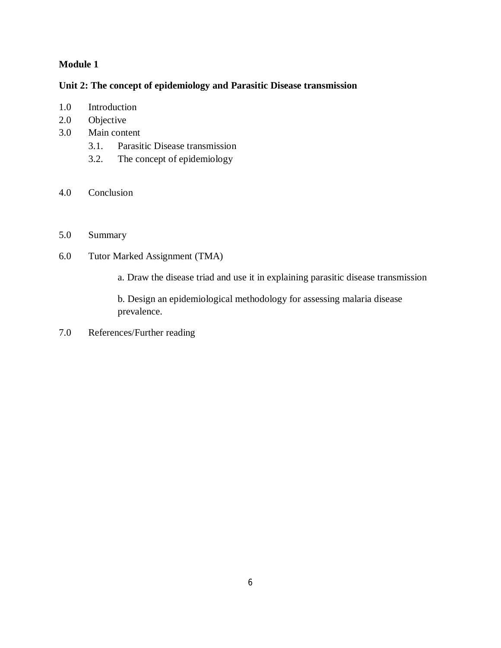### **Unit 2: The concept of epidemiology and Parasitic Disease transmission**

- 1.0 Introduction
- 2.0 Objective
- 3.0 Main content
	- 3.1. Parasitic Disease transmission
	- 3.2. The concept of epidemiology

### 4.0 Conclusion

- 5.0 Summary
- 6.0 Tutor Marked Assignment (TMA)
	- a. Draw the disease triad and use it in explaining parasitic disease transmission

b. Design an epidemiological methodology for assessing malaria disease prevalence.

7.0 References/Further reading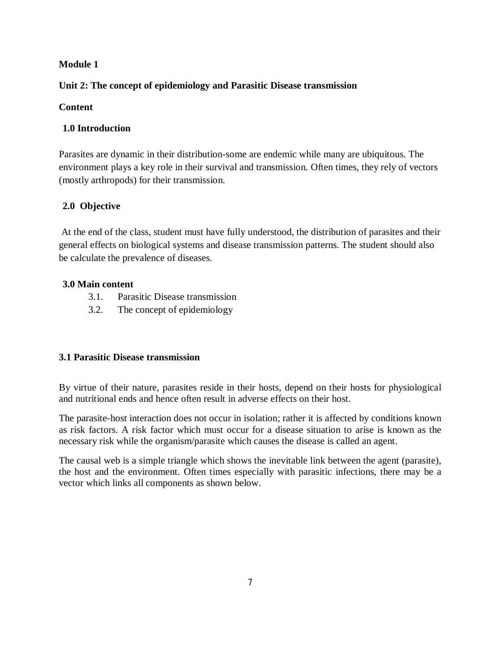### **Unit 2: The concept of epidemiology and Parasitic Disease transmission**

### **Content**

### **1.0 Introduction**

Parasites are dynamic in their distribution-some are endemic while many are ubiquitous. The environment plays a key role in their survival and transmission. Often times, they rely of vectors (mostly arthropods) for their transmission.

### **2.0 Objective**

At the end of the class, student must have fully understood, the distribution of parasites and their general effects on biological systems and disease transmission patterns. The student should also be calculate the prevalence of diseases.

### **3.0 Main content**

- 3.1. Parasitic Disease transmission
- 3.2. The concept of epidemiology

### **3.1 Parasitic Disease transmission**

By virtue of their nature, parasites reside in their hosts, depend on their hosts for physiological and nutritional ends and hence often result in adverse effects on their host.

The parasite-host interaction does not occur in isolation; rather it is affected by conditions known as risk factors. A risk factor which must occur for a disease situation to arise is known as the necessary risk while the organism/parasite which causes the disease is called an agent.

The causal web is a simple triangle which shows the inevitable link between the agent (parasite), the host and the environment. Often times especially with parasitic infections, there may be a vector which links all components as shown below.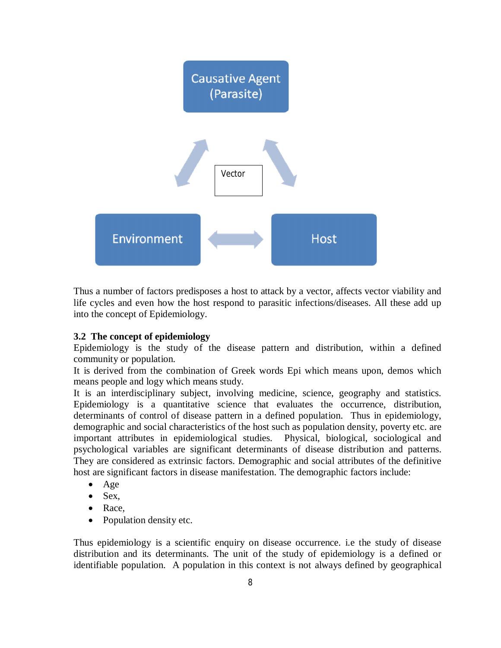

Thus a number of factors predisposes a host to attack by a vector, affects vector viability and life cycles and even how the host respond to parasitic infections/diseases. All these add up into the concept of Epidemiology.

#### **3.2 The concept of epidemiology**

Epidemiology is the study of the disease pattern and distribution, within a defined community or population.

It is derived from the combination of Greek words Epi which means upon, demos which means people and logy which means study.

It is an interdisciplinary subject, involving medicine, science, geography and statistics. Epidemiology is a quantitative science that evaluates the occurrence, distribution, determinants of control of disease pattern in a defined population. Thus in epidemiology, demographic and social characteristics of the host such as population density, poverty etc. are important attributes in epidemiological studies. Physical, biological, sociological and psychological variables are significant determinants of disease distribution and patterns. They are considered as extrinsic factors. Demographic and social attributes of the definitive host are significant factors in disease manifestation. The demographic factors include:

- Age
- $-$  Sex,
- Race,
- Population density etc.

Thus epidemiology is a scientific enquiry on disease occurrence. i.e the study of disease distribution and its determinants. The unit of the study of epidemiology is a defined or identifiable population. A population in this context is not always defined by geographical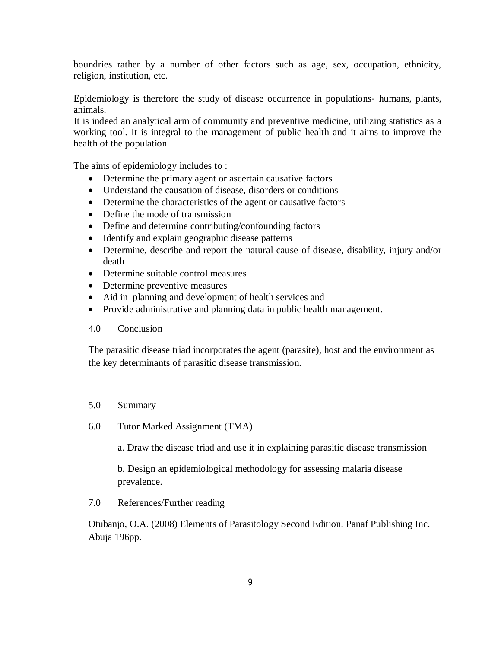boundries rather by a number of other factors such as age, sex, occupation, ethnicity, religion, institution, etc.

Epidemiology is therefore the study of disease occurrence in populations- humans, plants, animals.

It is indeed an analytical arm of community and preventive medicine, utilizing statistics as a working tool. It is integral to the management of public health and it aims to improve the health of the population.

The aims of epidemiology includes to :

- Determine the primary agent or ascertain causative factors
- Understand the causation of disease, disorders or conditions
- Determine the characteristics of the agent or causative factors
- Define the mode of transmission
- Define and determine contributing/confounding factors
- Identify and explain geographic disease patterns
- Determine, describe and report the natural cause of disease, disability, injury and/or death
- Determine suitable control measures
- Determine preventive measures
- Aid in planning and development of health services and
- Provide administrative and planning data in public health management.
- 4.0 Conclusion

The parasitic disease triad incorporates the agent (parasite), host and the environment as the key determinants of parasitic disease transmission.

### 5.0 Summary

6.0 Tutor Marked Assignment (TMA)

a. Draw the disease triad and use it in explaining parasitic disease transmission

b. Design an epidemiological methodology for assessing malaria disease prevalence.

7.0 References/Further reading

Otubanjo, O.A. (2008) Elements of Parasitology Second Edition. Panaf Publishing Inc. Abuja 196pp.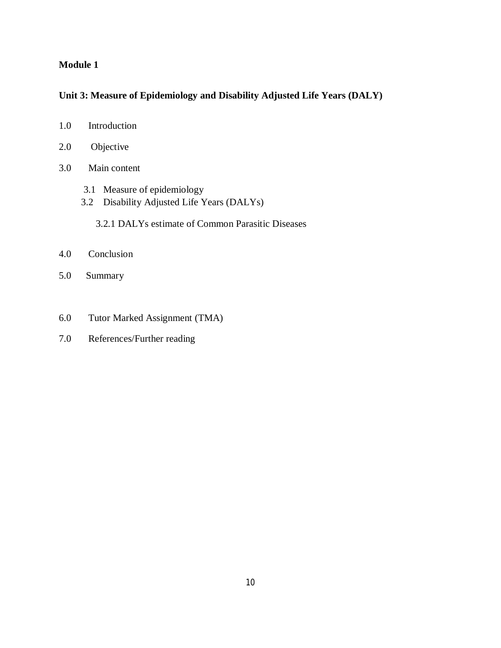### **Unit 3: Measure of Epidemiology and Disability Adjusted Life Years (DALY)**

| 1.0 | Introduction |
|-----|--------------|
|-----|--------------|

- 2.0 Objective
- 3.0 Main content
	- 3.1 Measure of epidemiology
	- 3.2 Disability Adjusted Life Years (DALYs)

3.2.1 DALYs estimate of Common Parasitic Diseases

- 4.0 Conclusion
- 5.0 Summary
- 6.0 Tutor Marked Assignment (TMA)
- 7.0 References/Further reading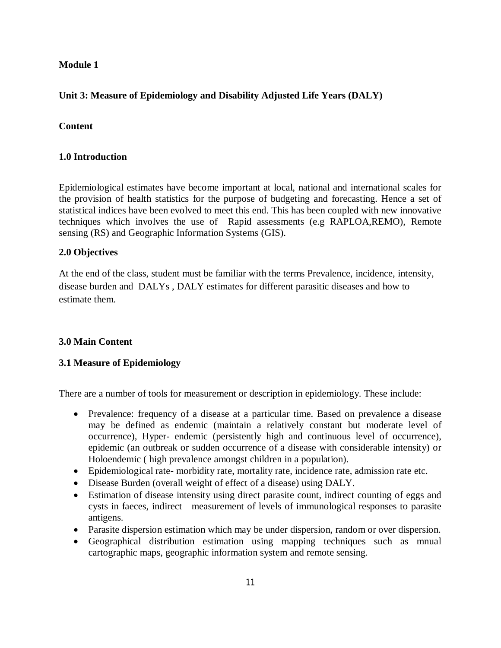### **Unit 3: Measure of Epidemiology and Disability Adjusted Life Years (DALY)**

### **Content**

#### **1.0 Introduction**

Epidemiological estimates have become important at local, national and international scales for the provision of health statistics for the purpose of budgeting and forecasting. Hence a set of statistical indices have been evolved to meet this end. This has been coupled with new innovative techniques which involves the use of Rapid assessments (e.g RAPLOA,REMO), Remote sensing (RS) and Geographic Information Systems (GIS).

#### **2.0 Objectives**

At the end of the class, student must be familiar with the terms Prevalence, incidence, intensity, disease burden and DALYs , DALY estimates for different parasitic diseases and how to estimate them.

### **3.0 Main Content**

#### **3.1 Measure of Epidemiology**

There are a number of tools for measurement or description in epidemiology. These include:

- Prevalence: frequency of a disease at a particular time. Based on prevalence a disease may be defined as endemic (maintain a relatively constant but moderate level of occurrence), Hyper- endemic (persistently high and continuous level of occurrence), epidemic (an outbreak or sudden occurrence of a disease with considerable intensity) or Holoendemic ( high prevalence amongst children in a population).
- Epidemiological rate- morbidity rate, mortality rate, incidence rate, admission rate etc.
- Disease Burden (overall weight of effect of a disease) using DALY.
- Estimation of disease intensity using direct parasite count, indirect counting of eggs and cysts in faeces, indirect measurement of levels of immunological responses to parasite antigens.
- Parasite dispersion estimation which may be under dispersion, random or over dispersion.
- Geographical distribution estimation using mapping techniques such as mnual cartographic maps, geographic information system and remote sensing.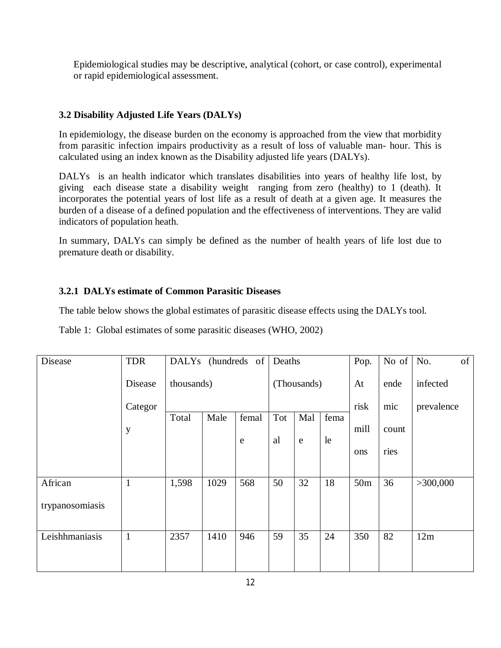Epidemiological studies may be descriptive, analytical (cohort, or case control), experimental or rapid epidemiological assessment.

### **3.2 Disability Adjusted Life Years (DALYs)**

In epidemiology, the disease burden on the economy is approached from the view that morbidity from parasitic infection impairs productivity as a result of loss of valuable man- hour. This is calculated using an index known as the Disability adjusted life years (DALYs).

DALYs is an health indicator which translates disabilities into years of healthy life lost, by giving each disease state a disability weight ranging from zero (healthy) to 1 (death). It incorporates the potential years of lost life as a result of death at a given age. It measures the burden of a disease of a defined population and the effectiveness of interventions. They are valid indicators of population heath.

In summary, DALYs can simply be defined as the number of health years of life lost due to premature death or disability.

### **3.2.1 DALYs estimate of Common Parasitic Diseases**

The table below shows the global estimates of parasitic disease effects using the DALYs tool.

Table 1: Global estimates of some parasitic diseases (WHO, 2002)

| Disease         | <b>TDR</b>   |            |      |       | DALYs (hundreds of Deaths |           | Pop. | No of           | of<br>No. |            |
|-----------------|--------------|------------|------|-------|---------------------------|-----------|------|-----------------|-----------|------------|
|                 | Disease      | thousands) |      |       | (Thousands)               |           |      | At              | ende      | infected   |
|                 | Categor      |            |      |       |                           |           |      | risk            | mic       | prevalence |
|                 | $\mathbf y$  | Total      | Male | femal | Tot                       | Mal       | fema | mill            | count     |            |
|                 |              |            |      | e     | al                        | ${\bf e}$ | le   | ons             | ries      |            |
|                 |              |            |      |       |                           |           |      |                 |           |            |
| African         | $\mathbf{1}$ | 1,598      | 1029 | 568   | 50                        | 32        | 18   | 50 <sub>m</sub> | 36        | >300,000   |
| trypanosomiasis |              |            |      |       |                           |           |      |                 |           |            |
| Leishhmaniasis  | $\mathbf{1}$ | 2357       | 1410 | 946   | 59                        | 35        | 24   | 350             | 82        | 12m        |
|                 |              |            |      |       |                           |           |      |                 |           |            |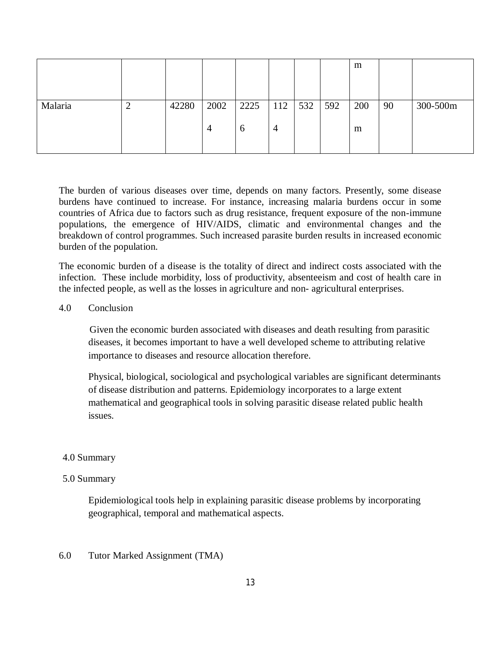|       |      |             |                |     |     | m   |    |          |
|-------|------|-------------|----------------|-----|-----|-----|----|----------|
| 42280 | 2002 | 2225        |                | 532 | 592 | 200 | 90 | 300-500m |
|       | 4    | $\mathbf b$ | $\overline{4}$ |     |     | m   |    |          |
|       |      |             |                | 112 |     |     |    |          |

The burden of various diseases over time, depends on many factors. Presently, some disease burdens have continued to increase. For instance, increasing malaria burdens occur in some countries of Africa due to factors such as drug resistance, frequent exposure of the non-immune populations, the emergence of HIV/AIDS, climatic and environmental changes and the breakdown of control programmes. Such increased parasite burden results in increased economic burden of the population.

The economic burden of a disease is the totality of direct and indirect costs associated with the infection. These include morbidity, loss of productivity, absenteeism and cost of health care in the infected people, as well as the losses in agriculture and non- agricultural enterprises.

#### 4.0 Conclusion

Given the economic burden associated with diseases and death resulting from parasitic diseases, it becomes important to have a well developed scheme to attributing relative importance to diseases and resource allocation therefore.

Physical, biological, sociological and psychological variables are significant determinants of disease distribution and patterns. Epidemiology incorporates to a large extent mathematical and geographical tools in solving parasitic disease related public health issues.

### 4.0 Summary

### 5.0 Summary

Epidemiological tools help in explaining parasitic disease problems by incorporating geographical, temporal and mathematical aspects.

### 6.0 Tutor Marked Assignment (TMA)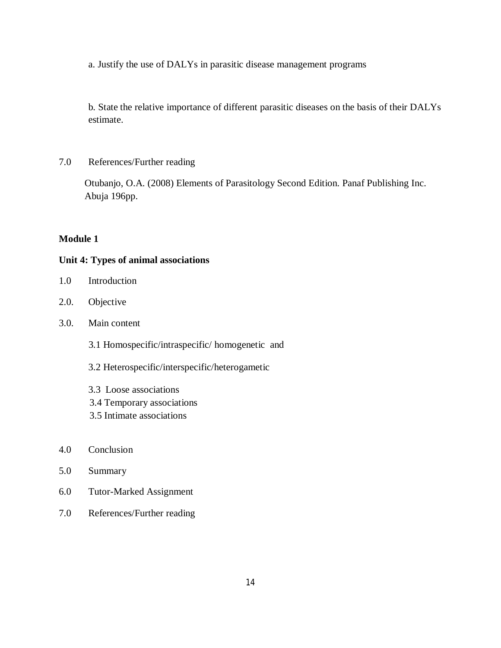a. Justify the use of DALYs in parasitic disease management programs

b. State the relative importance of different parasitic diseases on the basis of their DALYs estimate.

7.0 References/Further reading

Otubanjo, O.A. (2008) Elements of Parasitology Second Edition. Panaf Publishing Inc. Abuja 196pp.

#### **Module 1**

### **Unit 4: Types of animal associations**

- 1.0 Introduction
- 2.0. Objective
- 3.0. Main content
	- 3.1 Homospecific/intraspecific/ homogenetic and
	- 3.2 Heterospecific/interspecific/heterogametic
	- 3.3 Loose associations
	- 3.4 Temporary associations
	- 3.5 Intimate associations
- 4.0 Conclusion
- 5.0 Summary
- 6.0 Tutor-Marked Assignment
- 7.0 References/Further reading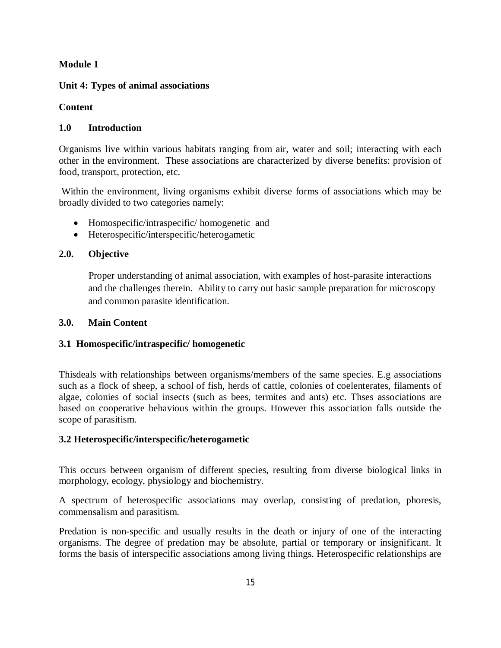### **Unit 4: Types of animal associations**

### **Content**

### **1.0 Introduction**

Organisms live within various habitats ranging from air, water and soil; interacting with each other in the environment. These associations are characterized by diverse benefits: provision of food, transport, protection, etc.

Within the environment, living organisms exhibit diverse forms of associations which may be broadly divided to two categories namely:

- Homospecific/intraspecific/ homogenetic and
- Heterospecific/interspecific/heterogametic

### **2.0. Objective**

 Proper understanding of animal association, with examples of host-parasite interactions and the challenges therein. Ability to carry out basic sample preparation for microscopy and common parasite identification.

### **3.0. Main Content**

### **3.1 Homospecific/intraspecific/ homogenetic**

Thisdeals with relationships between organisms/members of the same species. E.g associations such as a flock of sheep, a school of fish, herds of cattle, colonies of coelenterates, filaments of algae, colonies of social insects (such as bees, termites and ants) etc. Thses associations are based on cooperative behavious within the groups. However this association falls outside the scope of parasitism.

### **3.2 Heterospecific/interspecific/heterogametic**

This occurs between organism of different species, resulting from diverse biological links in morphology, ecology, physiology and biochemistry.

A spectrum of heterospecific associations may overlap, consisting of predation, phoresis, commensalism and parasitism.

Predation is non-specific and usually results in the death or injury of one of the interacting organisms. The degree of predation may be absolute, partial or temporary or insignificant. It forms the basis of interspecific associations among living things. Heterospecific relationships are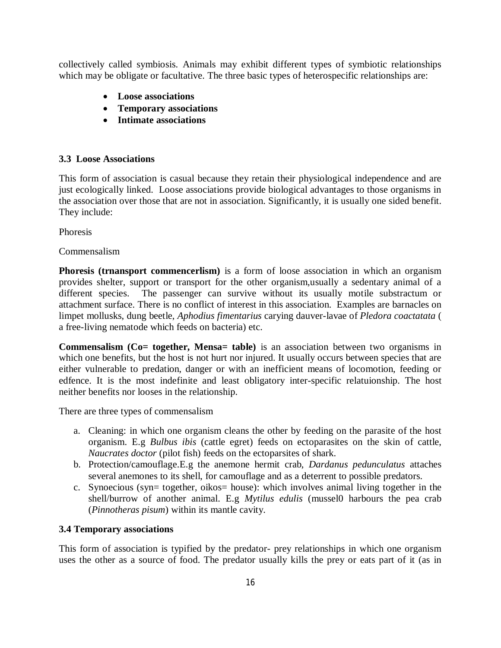collectively called symbiosis. Animals may exhibit different types of symbiotic relationships which may be obligate or facultative. The three basic types of heterospecific relationships are:

- **Loose associations**
- **Temporary associations**
- **Intimate associations**

### **3.3 Loose Associations**

This form of association is casual because they retain their physiological independence and are just ecologically linked. Loose associations provide biological advantages to those organisms in the association over those that are not in association. Significantly, it is usually one sided benefit. They include:

Phoresis

### Commensalism

**Phoresis (trnansport commencerlism)** is a form of loose association in which an organism provides shelter, support or transport for the other organism,usually a sedentary animal of a different species. The passenger can survive without its usually motile substractum or attachment surface. There is no conflict of interest in this association. Examples are barnacles on limpet mollusks, dung beetle, *Aphodius fimentarius* carying dauver-lavae of *Pledora coactatata* ( a free-living nematode which feeds on bacteria) etc.

**Commensalism (Co= together, Mensa= table)** is an association between two organisms in which one benefits, but the host is not hurt nor injured. It usually occurs between species that are either vulnerable to predation, danger or with an inefficient means of locomotion, feeding or edfence. It is the most indefinite and least obligatory inter-specific relatuionship. The host neither benefits nor looses in the relationship.

There are three types of commensalism

- a. Cleaning: in which one organism cleans the other by feeding on the parasite of the host organism. E.g *Bulbus ibis* (cattle egret) feeds on ectoparasites on the skin of cattle, *Naucrates doctor* (pilot fish) feeds on the ectoparsites of shark.
- b. Protection/camouflage.E.g the anemone hermit crab, *Dardanus pedunculatus* attaches several anemones to its shell, for camouflage and as a deterrent to possible predators.
- c. Synoecious (syn= together, oikos= house): which involves animal living together in the shell/burrow of another animal. E.g *Mytilus edulis* (mussel0 harbours the pea crab (*Pinnotheras pisum*) within its mantle cavity.

### **3.4 Temporary associations**

This form of association is typified by the predator- prey relationships in which one organism uses the other as a source of food. The predator usually kills the prey or eats part of it (as in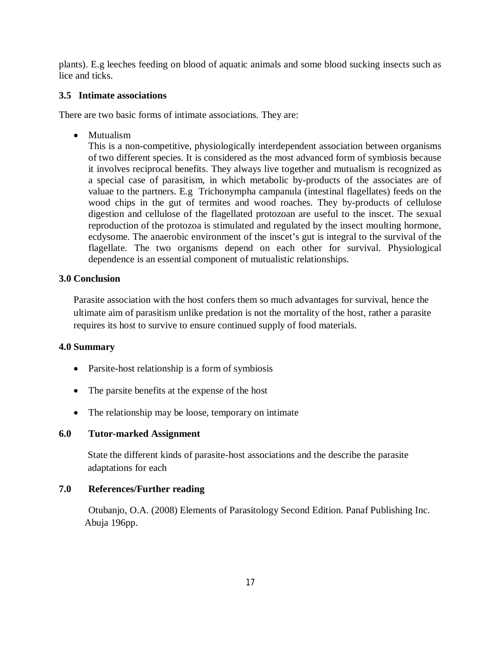plants). E.g leeches feeding on blood of aquatic animals and some blood sucking insects such as lice and ticks.

### **3.5 Intimate associations**

There are two basic forms of intimate associations. They are:

• Mutualism

This is a non-competitive, physiologically interdependent association between organisms of two different species. It is considered as the most advanced form of symbiosis because it involves reciprocal benefits. They always live together and mutualism is recognized as a special case of parasitism, in which metabolic by-products of the associates are of valuae to the partners. E.g Trichonympha campanula (intestinal flagellates) feeds on the wood chips in the gut of termites and wood roaches. They by-products of cellulose digestion and cellulose of the flagellated protozoan are useful to the inscet. The sexual reproduction of the protozoa is stimulated and regulated by the insect moulting hormone, ecdysome. The anaerobic environment of the inscet's gut is integral to the survival of the flagellate. The two organisms depend on each other for survival. Physiological dependence is an essential component of mutualistic relationships.

### **3.0 Conclusion**

Parasite association with the host confers them so much advantages for survival, hence the ultimate aim of parasitism unlike predation is not the mortality of the host, rather a parasite requires its host to survive to ensure continued supply of food materials.

### **4.0 Summary**

- Parsite-host relationship is a form of symbiosis
- The parsite benefits at the expense of the host
- The relationship may be loose, temporary on intimate

#### **6.0 Tutor-marked Assignment**

State the different kinds of parasite-host associations and the describe the parasite adaptations for each

### **7.0 References/Further reading**

Otubanjo, O.A. (2008) Elements of Parasitology Second Edition. Panaf Publishing Inc. Abuja 196pp.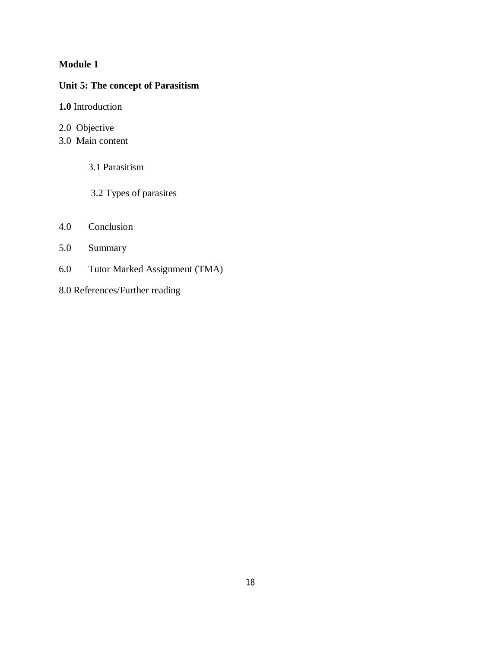### **Unit 5: The concept of Parasitism**

**1.0** Introduction

- 2.0 Objective
- 3.0 Main content
	- 3.1 Parasitism
	- 3.2 Types of parasites
- 4.0 Conclusion
- 5.0 Summary
- 6.0 Tutor Marked Assignment (TMA)
- 8.0 References/Further reading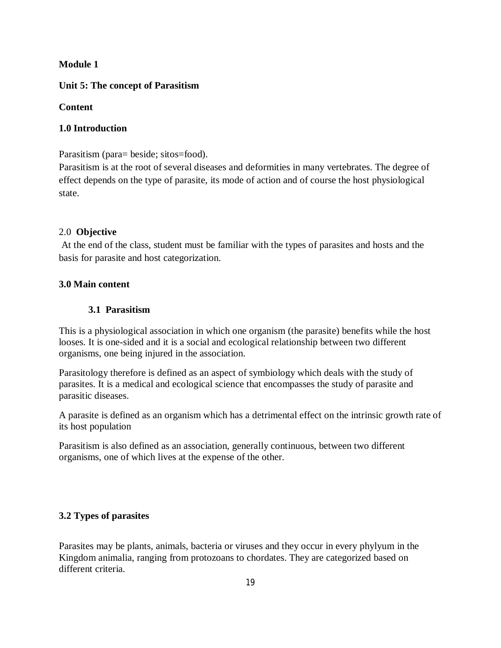#### **Unit 5: The concept of Parasitism**

#### **Content**

#### **1.0 Introduction**

Parasitism (para= beside; sitos=food).

Parasitism is at the root of several diseases and deformities in many vertebrates. The degree of effect depends on the type of parasite, its mode of action and of course the host physiological state.

#### 2.0 **Objective**

At the end of the class, student must be familiar with the types of parasites and hosts and the basis for parasite and host categorization.

### **3.0 Main content**

#### **3.1 Parasitism**

This is a physiological association in which one organism (the parasite) benefits while the host looses. It is one-sided and it is a social and ecological relationship between two different organisms, one being injured in the association.

Parasitology therefore is defined as an aspect of symbiology which deals with the study of parasites. It is a medical and ecological science that encompasses the study of parasite and parasitic diseases.

A parasite is defined as an organism which has a detrimental effect on the intrinsic growth rate of its host population

Parasitism is also defined as an association, generally continuous, between two different organisms, one of which lives at the expense of the other.

### **3.2 Types of parasites**

Parasites may be plants, animals, bacteria or viruses and they occur in every phylyum in the Kingdom animalia, ranging from protozoans to chordates. They are categorized based on different criteria.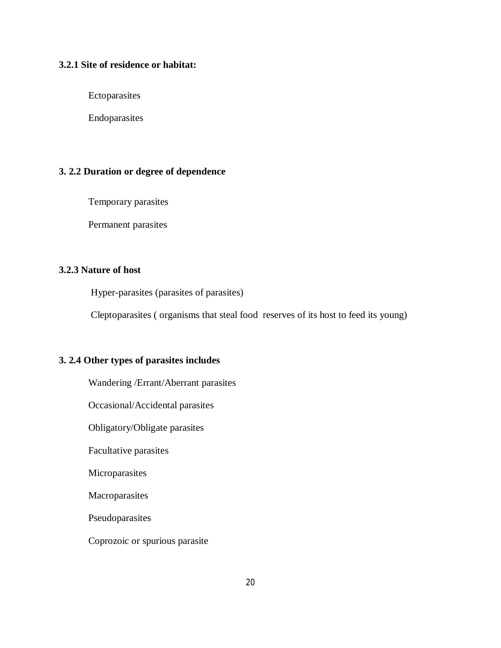### **3.2.1 Site of residence or habitat:**

Ectoparasites

Endoparasites

### **3. 2.2 Duration or degree of dependence**

Temporary parasites

Permanent parasites

### **3.2.3 Nature of host**

Hyper-parasites (parasites of parasites)

Cleptoparasites ( organisms that steal food reserves of its host to feed its young)

### **3. 2.4 Other types of parasites includes**

Wandering /Errant/Aberrant parasites

Occasional/Accidental parasites

Obligatory/Obligate parasites

Facultative parasites

Microparasites

Macroparasites

Pseudoparasites

Coprozoic or spurious parasite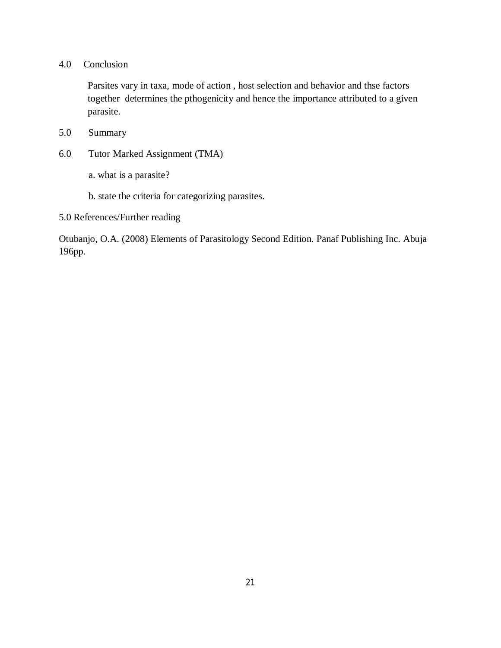4.0 Conclusion

Parsites vary in taxa, mode of action , host selection and behavior and thse factors together determines the pthogenicity and hence the importance attributed to a given parasite.

- 5.0 Summary
- 6.0 Tutor Marked Assignment (TMA)
	- a. what is a parasite?

b. state the criteria for categorizing parasites.

5.0 References/Further reading

Otubanjo, O.A. (2008) Elements of Parasitology Second Edition. Panaf Publishing Inc. Abuja 196pp.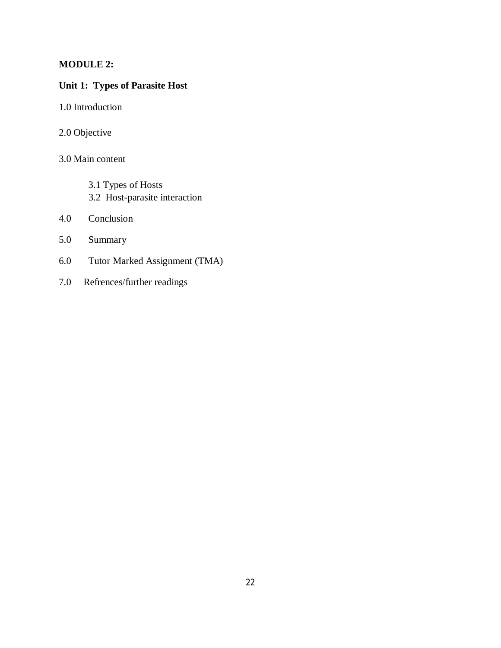### **MODULE 2:**

# **Unit 1: Types of Parasite Host**

- 1.0 Introduction
- 2.0 Objective

### 3.0 Main content

- 3.1 Types of Hosts
- 3.2 Host-parasite interaction
- 4.0 Conclusion
- 5.0 Summary
- 6.0 Tutor Marked Assignment (TMA)
- 7.0 Refrences/further readings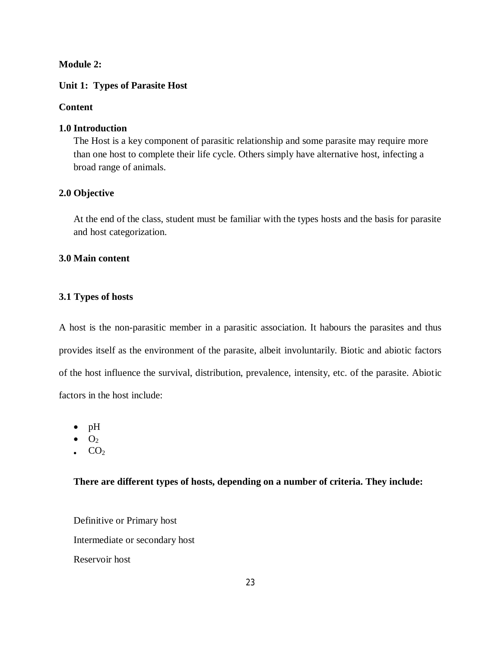### **Module 2:**

#### **Unit 1: Types of Parasite Host**

#### **Content**

#### **1.0 Introduction**

The Host is a key component of parasitic relationship and some parasite may require more than one host to complete their life cycle. Others simply have alternative host, infecting a broad range of animals.

### **2.0 Objective**

At the end of the class, student must be familiar with the types hosts and the basis for parasite and host categorization.

### **3.0 Main content**

#### **3.1 Types of hosts**

A host is the non-parasitic member in a parasitic association. It habours the parasites and thus provides itself as the environment of the parasite, albeit involuntarily. Biotic and abiotic factors of the host influence the survival, distribution, prevalence, intensity, etc. of the parasite. Abiotic factors in the host include:

- $\bullet$  pH
- $\bullet$  O<sub>2</sub>
- $CO<sub>2</sub>$

### **There are different types of hosts, depending on a number of criteria. They include:**

Definitive or Primary host Intermediate or secondary host Reservoir host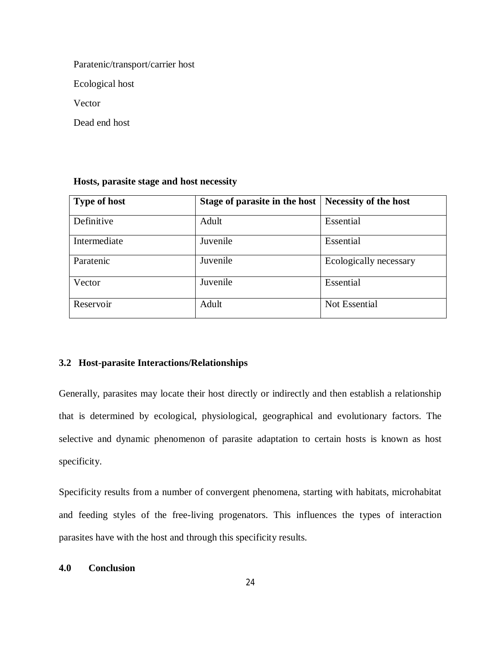Paratenic/transport/carrier host

Ecological host

Vector

Dead end host

| <b>Type of host</b> | Stage of parasite in the host | Necessity of the host  |
|---------------------|-------------------------------|------------------------|
| Definitive          | Adult                         | Essential              |
| Intermediate        | Juvenile                      | Essential              |
| Paratenic           | Juvenile                      | Ecologically necessary |
| Vector              | Juvenile                      | Essential              |
| Reservoir           | Adult                         | Not Essential          |

#### **Hosts, parasite stage and host necessity**

### **3.2 Host-parasite Interactions/Relationships**

Generally, parasites may locate their host directly or indirectly and then establish a relationship that is determined by ecological, physiological, geographical and evolutionary factors. The selective and dynamic phenomenon of parasite adaptation to certain hosts is known as host specificity.

Specificity results from a number of convergent phenomena, starting with habitats, microhabitat and feeding styles of the free-living progenators. This influences the types of interaction parasites have with the host and through this specificity results.

### **4.0 Conclusion**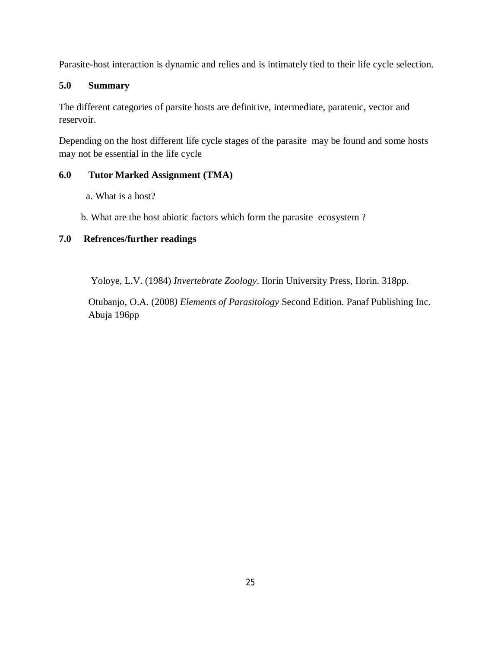Parasite-host interaction is dynamic and relies and is intimately tied to their life cycle selection.

### **5.0 Summary**

The different categories of parsite hosts are definitive, intermediate, paratenic, vector and reservoir.

Depending on the host different life cycle stages of the parasite may be found and some hosts may not be essential in the life cycle

### **6.0 Tutor Marked Assignment (TMA)**

a. What is a host?

b. What are the host abiotic factors which form the parasite ecosystem ?

### **7.0 Refrences/further readings**

Yoloye, L.V. (1984) *Invertebrate Zoology*. Ilorin University Press, Ilorin. 318pp.

Otubanjo, O.A. (2008*) Elements of Parasitology* Second Edition. Panaf Publishing Inc. Abuja 196pp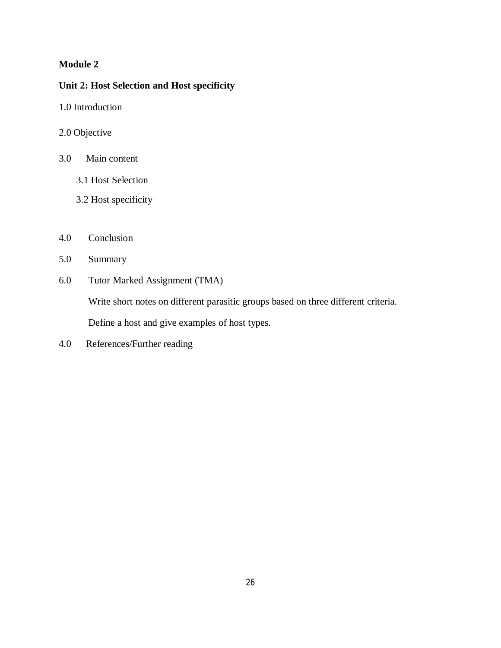### **Unit 2: Host Selection and Host specificity**

- 1.0 Introduction
- 2.0 Objective
- 3.0 Main content
	- 3.1 Host Selection
	- 3.2 Host specificity
- 4.0 Conclusion
- 5.0 Summary
- 6.0 Tutor Marked Assignment (TMA)

Write short notes on different parasitic groups based on three different criteria.

Define a host and give examples of host types.

4.0 References/Further reading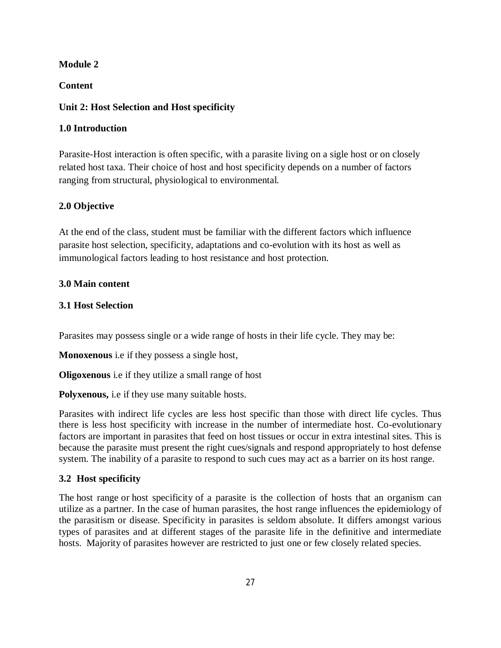**Content** 

### **Unit 2: Host Selection and Host specificity**

### **1.0 Introduction**

Parasite-Host interaction is often specific, with a parasite living on a sigle host or on closely related host taxa. Their choice of host and host specificity depends on a number of factors ranging from structural, physiological to environmental.

### **2.0 Objective**

At the end of the class, student must be familiar with the different factors which influence parasite host selection, specificity, adaptations and co-evolution with its host as well as immunological factors leading to host resistance and host protection.

### **3.0 Main content**

### **3.1 Host Selection**

Parasites may possess single or a wide range of hosts in their life cycle. They may be:

**Monoxenous** i.e if they possess a single host,

**Oligoxenous** i.e if they utilize a small range of host

**Polyxenous,** i.e if they use many suitable hosts.

Parasites with indirect life cycles are less host specific than those with direct life cycles. Thus there is less host specificity with increase in the number of intermediate host. Co-evolutionary factors are important in parasites that feed on host tissues or occur in extra intestinal sites. This is because the parasite must present the right cues/signals and respond appropriately to host defense system. The inability of a parasite to respond to such cues may act as a barrier on its host range.

### **3.2 Host specificity**

The host range or host specificity of a parasite is the collection of hosts that an organism can utilize as a partner. In the case of human parasites, the host range influences the epidemiology of the parasitism or disease. Specificity in parasites is seldom absolute. It differs amongst various types of parasites and at different stages of the parasite life in the definitive and intermediate hosts. Majority of parasites however are restricted to just one or few closely related species.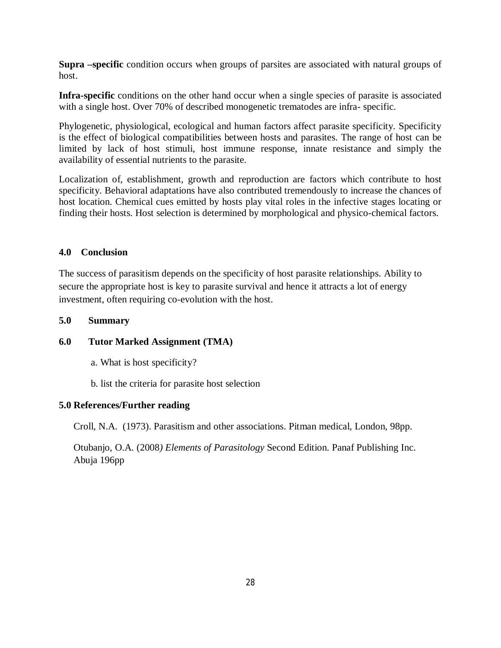**Supra –specific** condition occurs when groups of parsites are associated with natural groups of host.

**Infra-specific** conditions on the other hand occur when a single species of parasite is associated with a single host. Over 70% of described monogenetic trematodes are infra- specific.

Phylogenetic, physiological, ecological and human factors affect parasite specificity. Specificity is the effect of biological compatibilities between hosts and parasites. The range of host can be limited by lack of host stimuli, host immune response, innate resistance and simply the availability of essential nutrients to the parasite.

Localization of, establishment, growth and reproduction are factors which contribute to host specificity. Behavioral adaptations have also contributed tremendously to increase the chances of host location. Chemical cues emitted by hosts play vital roles in the infective stages locating or finding their hosts. Host selection is determined by morphological and physico-chemical factors.

### **4.0 Conclusion**

The success of parasitism depends on the specificity of host parasite relationships. Ability to secure the appropriate host is key to parasite survival and hence it attracts a lot of energy investment, often requiring co-evolution with the host.

### **5.0 Summary**

### **6.0 Tutor Marked Assignment (TMA)**

a. What is host specificity?

b. list the criteria for parasite host selection

### **5.0 References/Further reading**

Croll, N.A. (1973). Parasitism and other associations. Pitman medical, London, 98pp.

Otubanjo, O.A. (2008*) Elements of Parasitology* Second Edition. Panaf Publishing Inc. Abuja 196pp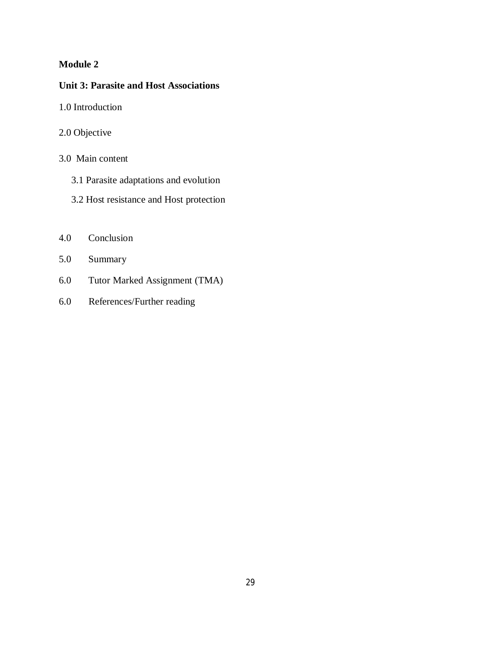#### **Unit 3: Parasite and Host Associations**

- 1.0 Introduction
- 2.0 Objective
- 3.0 Main content
	- 3.1 Parasite adaptations and evolution
	- 3.2 Host resistance and Host protection
- 4.0 Conclusion
- 5.0 Summary
- 6.0 Tutor Marked Assignment (TMA)
- 6.0 References/Further reading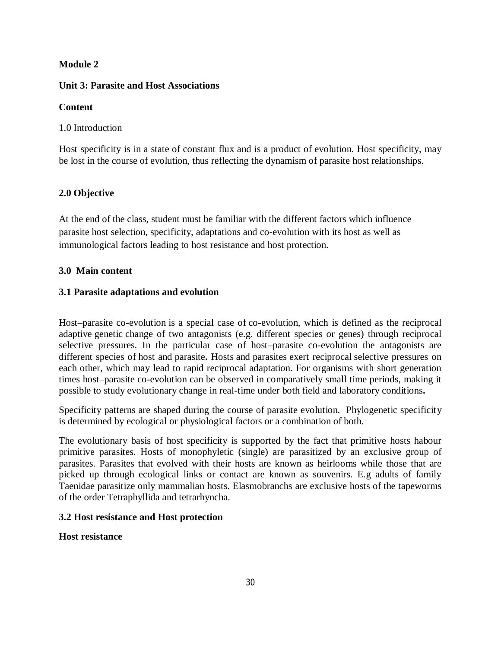### **Unit 3: Parasite and Host Associations**

### **Content**

### 1.0 Introduction

Host specificity is in a state of constant flux and is a product of evolution. Host specificity, may be lost in the course of evolution, thus reflecting the dynamism of parasite host relationships.

### **2.0 Objective**

At the end of the class, student must be familiar with the different factors which influence parasite host selection, specificity, adaptations and co-evolution with its host as well as immunological factors leading to host resistance and host protection.

### **3.0 Main content**

### **3.1 Parasite adaptations and evolution**

Host–parasite co-evolution is a special case of co-evolution, which is defined as the reciprocal adaptive genetic change of two antagonists (e.g. different species or genes) through reciprocal selective pressures. In the particular case of host–parasite co-evolution the antagonists are different species of host and parasite**.** Hosts and parasites exert reciprocal selective pressures on each other, which may lead to rapid reciprocal adaptation. For organisms with short generation times host–parasite co-evolution can be observed in comparatively small time periods, making it possible to study evolutionary change in real-time under both field and laboratory conditions**.**

Specificity patterns are shaped during the course of parasite evolution. Phylogenetic specificity is determined by ecological or physiological factors or a combination of both.

The evolutionary basis of host specificity is supported by the fact that primitive hosts habour primitive parasites. Hosts of monophyletic (single) are parasitized by an exclusive group of parasites. Parasites that evolved with their hosts are known as heirlooms while those that are picked up through ecological links or contact are known as souvenirs. E.g adults of family Taenidae parasitize only mammalian hosts. Elasmobranchs are exclusive hosts of the tapeworms of the order Tetraphyllida and tetrarhyncha.

### **3.2 Host resistance and Host protection**

### **Host resistance**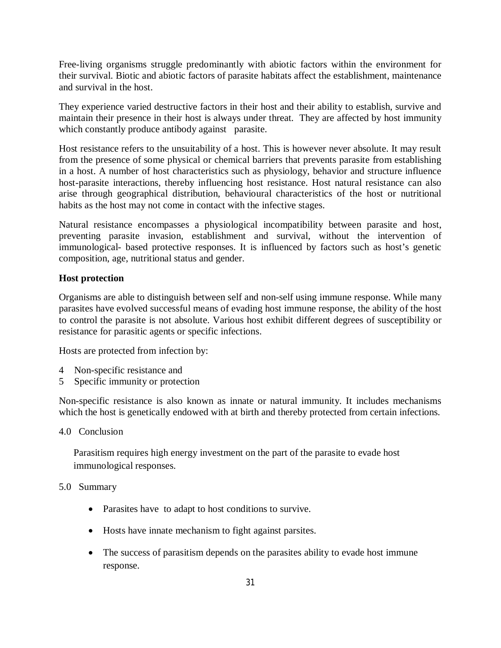Free-living organisms struggle predominantly with abiotic factors within the environment for their survival. Biotic and abiotic factors of parasite habitats affect the establishment, maintenance and survival in the host.

They experience varied destructive factors in their host and their ability to establish, survive and maintain their presence in their host is always under threat. They are affected by host immunity which constantly produce antibody against parasite.

Host resistance refers to the unsuitability of a host. This is however never absolute. It may result from the presence of some physical or chemical barriers that prevents parasite from establishing in a host. A number of host characteristics such as physiology, behavior and structure influence host-parasite interactions, thereby influencing host resistance. Host natural resistance can also arise through geographical distribution, behavioural characteristics of the host or nutritional habits as the host may not come in contact with the infective stages.

Natural resistance encompasses a physiological incompatibility between parasite and host, preventing parasite invasion, establishment and survival, without the intervention of immunological- based protective responses. It is influenced by factors such as host's genetic composition, age, nutritional status and gender.

### **Host protection**

Organisms are able to distinguish between self and non-self using immune response. While many parasites have evolved successful means of evading host immune response, the ability of the host to control the parasite is not absolute. Various host exhibit different degrees of susceptibility or resistance for parasitic agents or specific infections.

Hosts are protected from infection by:

- 4 Non-specific resistance and
- 5 Specific immunity or protection

Non-specific resistance is also known as innate or natural immunity. It includes mechanisms which the host is genetically endowed with at birth and thereby protected from certain infections.

4.0 Conclusion

Parasitism requires high energy investment on the part of the parasite to evade host immunological responses.

#### 5.0 Summary

- Parasites have to adapt to host conditions to survive.
- Hosts have innate mechanism to fight against parsites.
- The success of parasitism depends on the parasites ability to evade host immune response.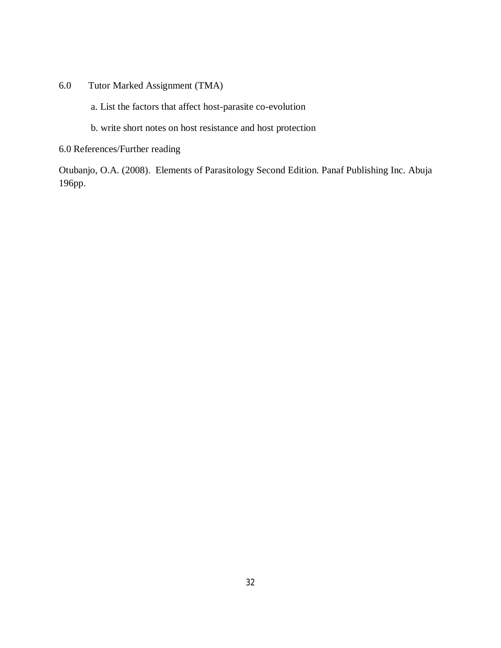- 6.0 Tutor Marked Assignment (TMA)
	- a. List the factors that affect host-parasite co-evolution
	- b. write short notes on host resistance and host protection
- 6.0 References/Further reading

Otubanjo, O.A. (2008). Elements of Parasitology Second Edition. Panaf Publishing Inc. Abuja 196pp.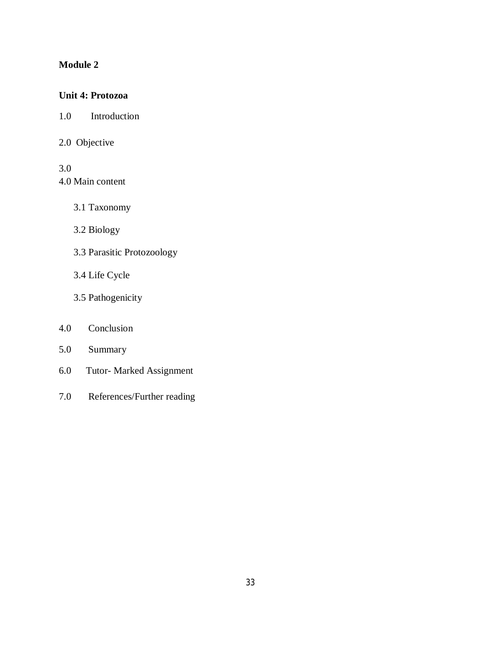### **Unit 4: Protozoa**

1.0 Introduction

### 2.0 Objective

3.0 4.0 Main content

- 3.1 Taxonomy
- 3.2 Biology
- 3.3 Parasitic Protozoology
- 3.4 Life Cycle
- 3.5 Pathogenicity

### 4.0 Conclusion

- 5.0 Summary
- 6.0 Tutor- Marked Assignment
- 7.0 References/Further reading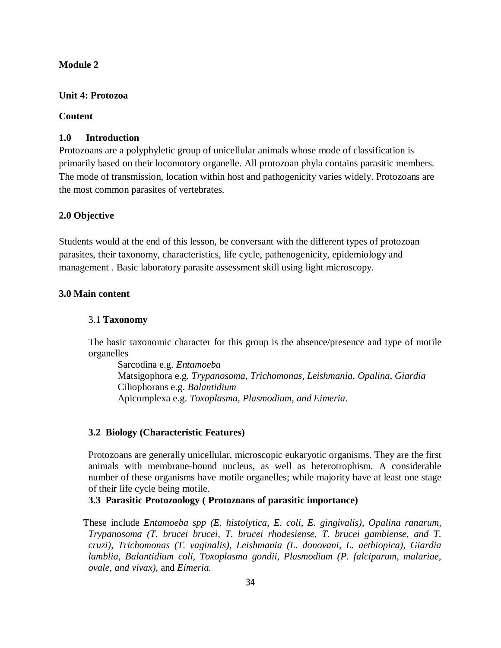#### **Unit 4: Protozoa**

#### **Content**

#### **1.0 Introduction**

Protozoans are a polyphyletic group of unicellular animals whose mode of classification is primarily based on their locomotory organelle. All protozoan phyla contains parasitic members. The mode of transmission, location within host and pathogenicity varies widely. Protozoans are the most common parasites of vertebrates.

#### **2.0 Objective**

Students would at the end of this lesson, be conversant with the different types of protozoan parasites, their taxonomy, characteristics, life cycle, pathenogenicity, epidemiology and management . Basic laboratory parasite assessment skill using light microscopy.

#### **3.0 Main content**

#### 3.1 **Taxonomy**

The basic taxonomic character for this group is the absence/presence and type of motile organelles

Sarcodina e.g. *Entamoeba* Matsigophora e.g. *Trypanosoma, Trichomonas, Leishmania, Opalina, Giardia* Ciliophorans e.g. *Balantidium* Apicomplexa e.g. *Toxoplasma, Plasmodium, and Eimeria*.

#### **3.2 Biology (Characteristic Features)**

Protozoans are generally unicellular, microscopic eukaryotic organisms. They are the first animals with membrane-bound nucleus, as well as heterotrophism. A considerable number of these organisms have motile organelles; while majority have at least one stage of their life cycle being motile.

**3.3 Parasitic Protozoology ( Protozoans of parasitic importance)**

 These include *Entamoeba spp (E. histolytica, E. coli, E. gingivalis), Opalina ranarum, Trypanosoma (T. brucei brucei, T. brucei rhodesiense, T. brucei gambiense, and T. cruzi), Trichomonas (T. vaginalis), Leishmania (L. donovani, L. aethiopica), Giardia lamblia, Balantidium coli, Toxoplasma gondii, Plasmodium (P. falciparum, malariae, ovale, and vivax),* and *Eimeria.*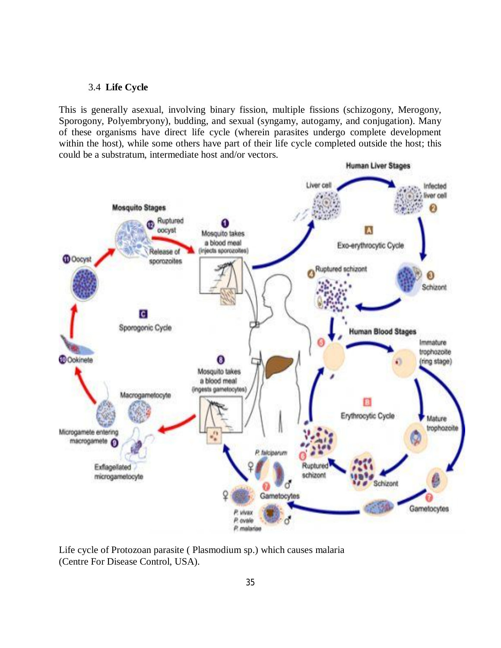#### 3.4 **Life Cycle**

This is generally asexual, involving binary fission, multiple fissions (schizogony, Merogony, Sporogony, Polyembryony), budding, and sexual (syngamy, autogamy, and conjugation). Many of these organisms have direct life cycle (wherein parasites undergo complete development within the host), while some others have part of their life cycle completed outside the host; this could be a substratum, intermediate host and/or vectors.



Life cycle of Protozoan parasite ( Plasmodium sp.) which causes malaria (Centre For Disease Control, USA).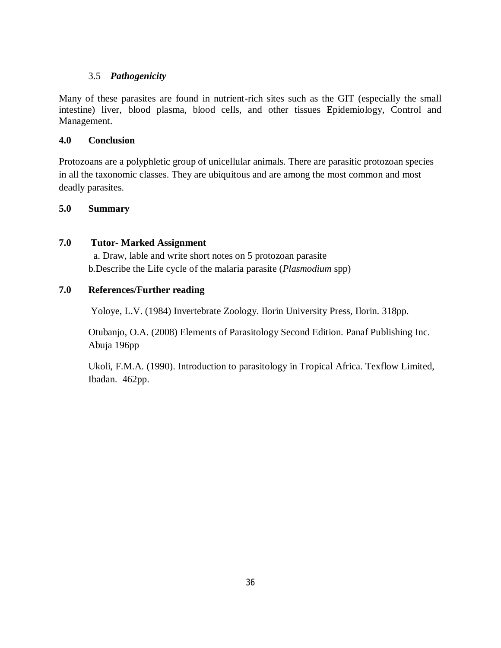### 3.5 *Pathogenicity*

Many of these parasites are found in nutrient-rich sites such as the GIT (especially the small intestine) liver, blood plasma, blood cells, and other tissues Epidemiology, Control and Management.

### **4.0 Conclusion**

Protozoans are a polyphletic group of unicellular animals. There are parasitic protozoan species in all the taxonomic classes. They are ubiquitous and are among the most common and most deadly parasites.

### **5.0 Summary**

#### **7.0 Tutor- Marked Assignment**

 a. Draw, lable and write short notes on 5 protozoan parasite b.Describe the Life cycle of the malaria parasite (*Plasmodium* spp)

#### **7.0 References/Further reading**

Yoloye, L.V. (1984) Invertebrate Zoology. Ilorin University Press, Ilorin. 318pp.

Otubanjo, O.A. (2008) Elements of Parasitology Second Edition. Panaf Publishing Inc. Abuja 196pp

Ukoli, F.M.A. (1990). Introduction to parasitology in Tropical Africa. Texflow Limited, Ibadan. 462pp.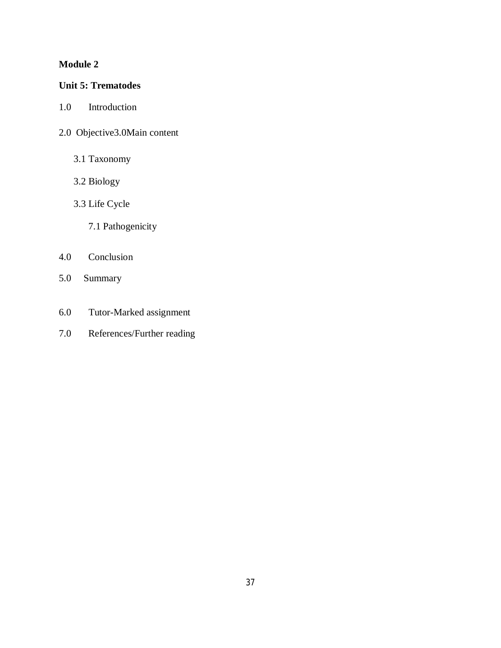### **Unit 5: Trematodes**

- 1.0 Introduction
- 2.0 Objective3.0Main content
	- 3.1 Taxonomy
	- 3.2 Biology
	- 3.3 Life Cycle
		- 7.1 Pathogenicity
- 4.0 Conclusion
- 5.0 Summary
- 6.0 Tutor-Marked assignment
- 7.0 References/Further reading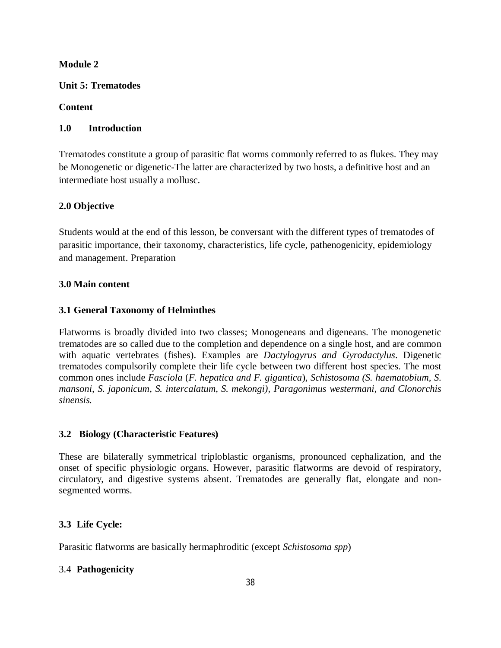### **Unit 5: Trematodes**

### **Content**

### **1.0 Introduction**

Trematodes constitute a group of parasitic flat worms commonly referred to as flukes. They may be Monogenetic or digenetic-The latter are characterized by two hosts, a definitive host and an intermediate host usually a mollusc.

### **2.0 Objective**

Students would at the end of this lesson, be conversant with the different types of trematodes of parasitic importance, their taxonomy, characteristics, life cycle, pathenogenicity, epidemiology and management. Preparation

### **3.0 Main content**

### **3.1 General Taxonomy of Helminthes**

Flatworms is broadly divided into two classes; Monogeneans and digeneans. The monogenetic trematodes are so called due to the completion and dependence on a single host, and are common with aquatic vertebrates (fishes). Examples are *Dactylogyrus and Gyrodactylus*. Digenetic trematodes compulsorily complete their life cycle between two different host species. The most common ones include *Fasciola* (*F. hepatica and F. gigantica*), *Schistosoma (S. haematobium, S. mansoni, S. japonicum, S. intercalatum, S. mekongi), Paragonimus westermani, and Clonorchis sinensis.*

### **3.2 Biology (Characteristic Features)**

These are bilaterally symmetrical triploblastic organisms, pronounced cephalization, and the onset of specific physiologic organs. However, parasitic flatworms are devoid of respiratory, circulatory, and digestive systems absent. Trematodes are generally flat, elongate and nonsegmented worms.

### **3.3 Life Cycle:**

Parasitic flatworms are basically hermaphroditic (except *Schistosoma spp*)

### 3.4 **Pathogenicity**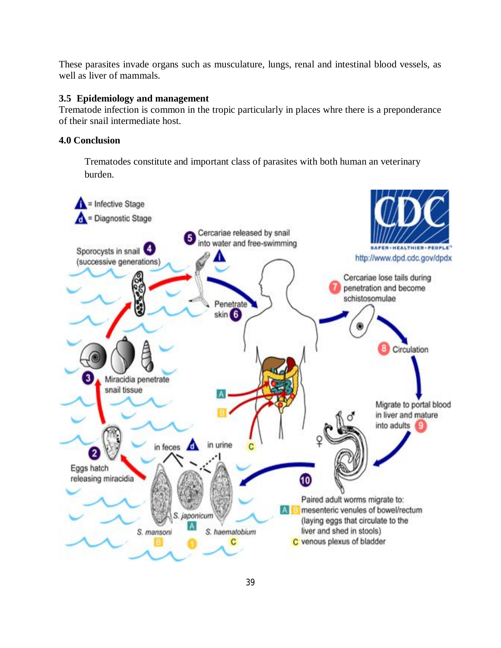These parasites invade organs such as musculature, lungs, renal and intestinal blood vessels, as well as liver of mammals.

### **3.5 Epidemiology and management**

Trematode infection is common in the tropic particularly in places whre there is a preponderance of their snail intermediate host.

### **4.0 Conclusion**

Trematodes constitute and important class of parasites with both human an veterinary burden.

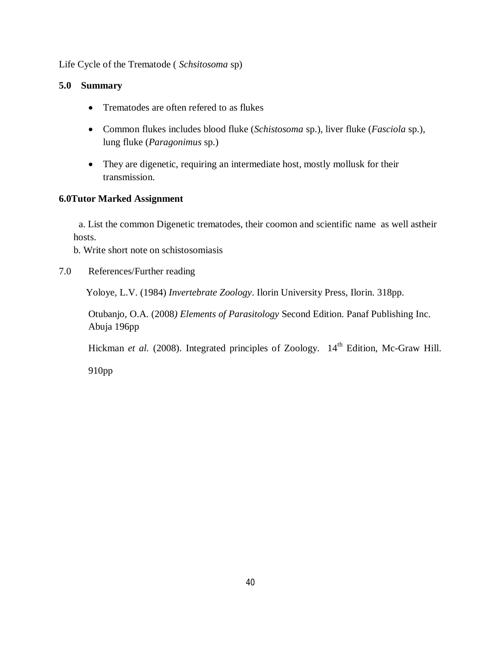Life Cycle of the Trematode ( *Schsitosoma* sp)

### **5.0 Summary**

- Trematodes are often refered to as flukes
- Common flukes includes blood fluke (*Schistosoma* sp.), liver fluke (*Fasciola* sp.), lung fluke (*Paragonimus* sp.)
- They are digenetic, requiring an intermediate host, mostly mollusk for their transmission.

### **6.0Tutor Marked Assignment**

 a. List the common Digenetic trematodes, their coomon and scientific name as well astheir hosts.

b. Write short note on schistosomiasis

7.0 References/Further reading

Yoloye, L.V. (1984) *Invertebrate Zoology*. Ilorin University Press, Ilorin. 318pp.

Otubanjo, O.A. (2008*) Elements of Parasitology* Second Edition. Panaf Publishing Inc. Abuja 196pp

Hickman *et al.* (2008). Integrated principles of Zoology. 14<sup>th</sup> Edition, Mc-Graw Hill.

910pp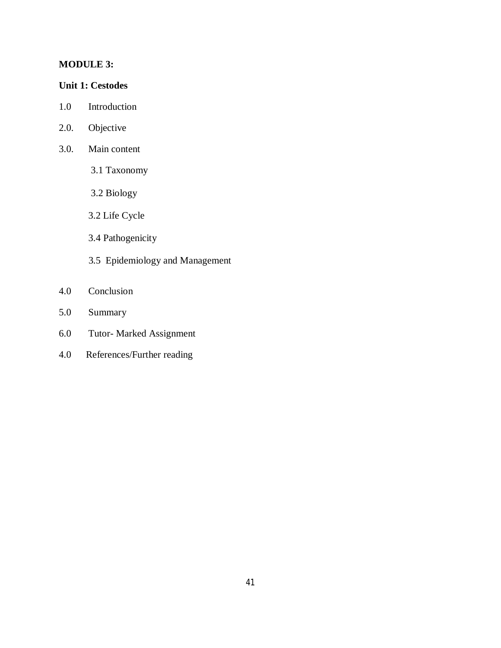### **MODULE 3:**

#### **Unit 1: Cestodes**

- 1.0 Introduction
- 2.0. Objective
- 3.0. Main content
	- 3.1 Taxonomy
	- 3.2 Biology
	- 3.2 Life Cycle
	- 3.4 Pathogenicity
	- 3.5 Epidemiology and Management
- 4.0 Conclusion
- 5.0 Summary
- 6.0 Tutor- Marked Assignment
- 4.0 References/Further reading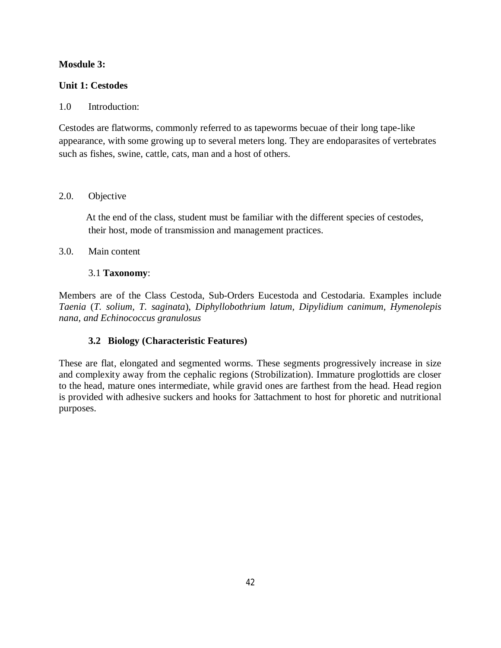### **Mosdule 3:**

### **Unit 1: Cestodes**

#### 1.0 Introduction:

Cestodes are flatworms, commonly referred to as tapeworms becuae of their long tape-like appearance, with some growing up to several meters long. They are endoparasites of vertebrates such as fishes, swine, cattle, cats, man and a host of others.

#### 2.0. Objective

 At the end of the class, student must be familiar with the different species of cestodes, their host, mode of transmission and management practices.

#### 3.0. Main content

### 3.1 **Taxonomy**:

Members are of the Class Cestoda, Sub-Orders Eucestoda and Cestodaria. Examples include *Taenia* (*T. solium, T. saginata*), *Diphyllobothrium latum, Dipylidium canimum, Hymenolepis nana, and Echinococcus granulosus*

### **3.2 Biology (Characteristic Features)**

These are flat, elongated and segmented worms. These segments progressively increase in size and complexity away from the cephalic regions (Strobilization). Immature proglottids are closer to the head, mature ones intermediate, while gravid ones are farthest from the head. Head region is provided with adhesive suckers and hooks for 3attachment to host for phoretic and nutritional purposes.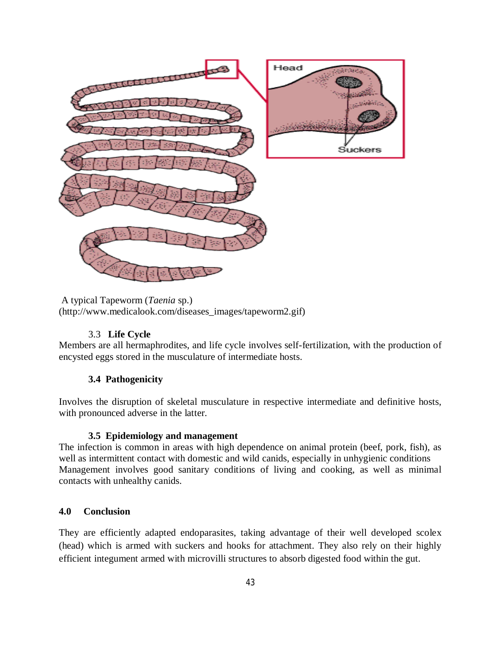

A typical Tapeworm (*Taenia* sp.) (http://www.medicalook.com/diseases\_images/tapeworm2.gif)

### 3.3 **Life Cycle**

Members are all hermaphrodites, and life cycle involves self-fertilization, with the production of encysted eggs stored in the musculature of intermediate hosts.

### **3.4 Pathogenicity**

Involves the disruption of skeletal musculature in respective intermediate and definitive hosts, with pronounced adverse in the latter.

### **3.5 Epidemiology and management**

The infection is common in areas with high dependence on animal protein (beef, pork, fish), as well as intermittent contact with domestic and wild canids, especially in unhygienic conditions Management involves good sanitary conditions of living and cooking, as well as minimal contacts with unhealthy canids.

### **4.0 Conclusion**

They are efficiently adapted endoparasites, taking advantage of their well developed scolex (head) which is armed with suckers and hooks for attachment. They also rely on their highly efficient integument armed with microvilli structures to absorb digested food within the gut.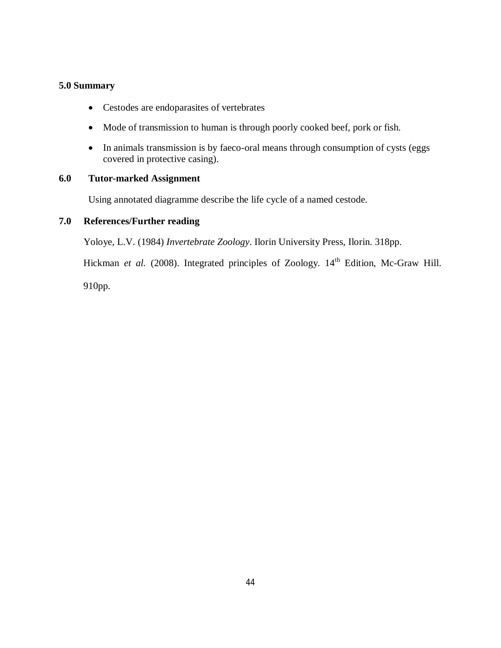#### **5.0 Summary**

- Cestodes are endoparasites of vertebrates
- Mode of transmission to human is through poorly cooked beef, pork or fish.
- In animals transmission is by faeco-oral means through consumption of cysts (eggs covered in protective casing).

### **6.0 Tutor-marked Assignment**

Using annotated diagramme describe the life cycle of a named cestode.

### **7.0 References/Further reading**

 Yoloye, L.V. (1984) *Invertebrate Zoology*. Ilorin University Press, Ilorin. 318pp. Hickman *et al.* (2008). Integrated principles of Zoology. 14<sup>th</sup> Edition, Mc-Graw Hill. 910pp.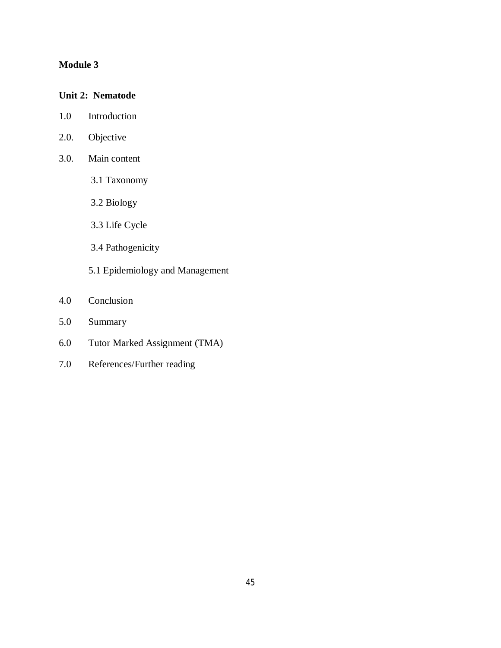### **Unit 2: Nematode**

- 1.0 Introduction
- 2.0. Objective
- 3.0. Main content
	- 3.1 Taxonomy
	- 3.2 Biology
	- 3.3 Life Cycle
	- 3.4 Pathogenicity
	- 5.1 Epidemiology and Management
- 4.0 Conclusion
- 5.0 Summary
- 6.0 Tutor Marked Assignment (TMA)
- 7.0 References/Further reading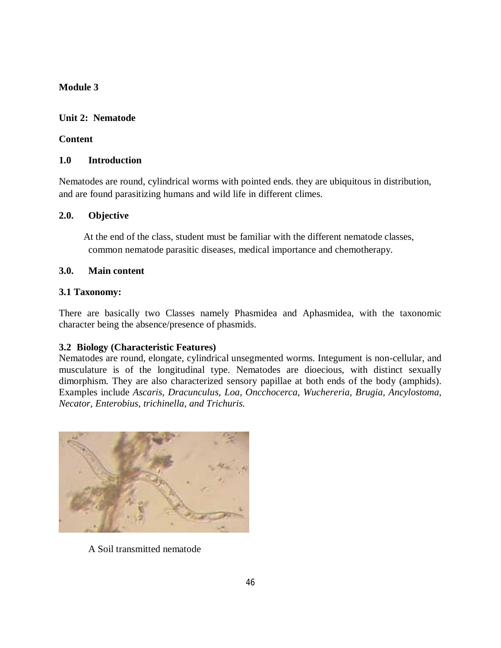### **Unit 2: Nematode**

### **Content**

#### **1.0 Introduction**

Nematodes are round, cylindrical worms with pointed ends. they are ubiquitous in distribution, and are found parasitizing humans and wild life in different climes.

#### **2.0. Objective**

 At the end of the class, student must be familiar with the different nematode classes, common nematode parasitic diseases, medical importance and chemotherapy.

### **3.0. Main content**

#### **3.1 Taxonomy:**

There are basically two Classes namely Phasmidea and Aphasmidea, with the taxonomic character being the absence/presence of phasmids.

### **3.2 Biology (Characteristic Features)**

Nematodes are round, elongate, cylindrical unsegmented worms. Integument is non-cellular, and musculature is of the longitudinal type. Nematodes are dioecious, with distinct sexually dimorphism. They are also characterized sensory papillae at both ends of the body (amphids). Examples include *Ascaris, Dracunculus, Loa, Oncchocerca, Wuchereria, Brugia, Ancylostoma, Necator, Enterobius, trichinella, and Trichuris.*



A Soil transmitted nematode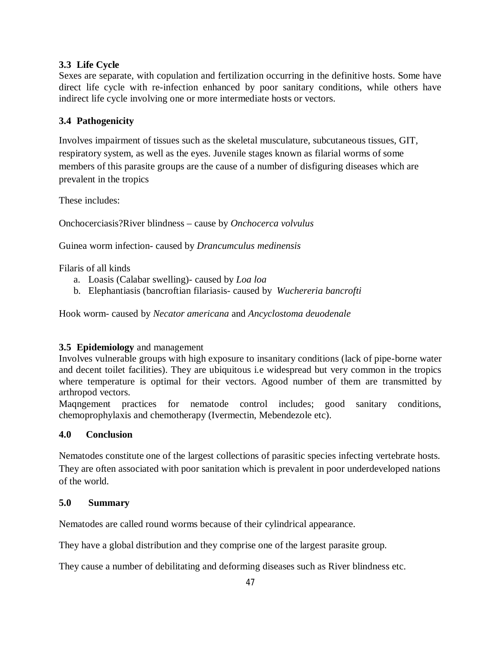### **3.3 Life Cycle**

Sexes are separate, with copulation and fertilization occurring in the definitive hosts. Some have direct life cycle with re-infection enhanced by poor sanitary conditions, while others have indirect life cycle involving one or more intermediate hosts or vectors.

### **3.4 Pathogenicity**

Involves impairment of tissues such as the skeletal musculature, subcutaneous tissues, GIT, respiratory system, as well as the eyes. Juvenile stages known as filarial worms of some members of this parasite groups are the cause of a number of disfiguring diseases which are prevalent in the tropics

These includes:

Onchocerciasis?River blindness – cause by *Onchocerca volvulus*

Guinea worm infection- caused by *Drancumculus medinensis*

Filaris of all kinds

- a. Loasis (Calabar swelling)- caused by *Loa loa*
- b. Elephantiasis (bancroftian filariasis- caused by *Wuchereria bancrofti*

Hook worm- caused by *Necator americana* and *Ancyclostoma deuodenale*

#### **3.5 Epidemiology** and management

Involves vulnerable groups with high exposure to insanitary conditions (lack of pipe-borne water and decent toilet facilities). They are ubiquitous i.e widespread but very common in the tropics where temperature is optimal for their vectors. Agood number of them are transmitted by arthropod vectors.

Maqngement practices for nematode control includes; good sanitary conditions, chemoprophylaxis and chemotherapy (Ivermectin, Mebendezole etc).

#### **4.0 Conclusion**

Nematodes constitute one of the largest collections of parasitic species infecting vertebrate hosts. They are often associated with poor sanitation which is prevalent in poor underdeveloped nations of the world.

#### **5.0 Summary**

Nematodes are called round worms because of their cylindrical appearance.

They have a global distribution and they comprise one of the largest parasite group.

They cause a number of debilitating and deforming diseases such as River blindness etc.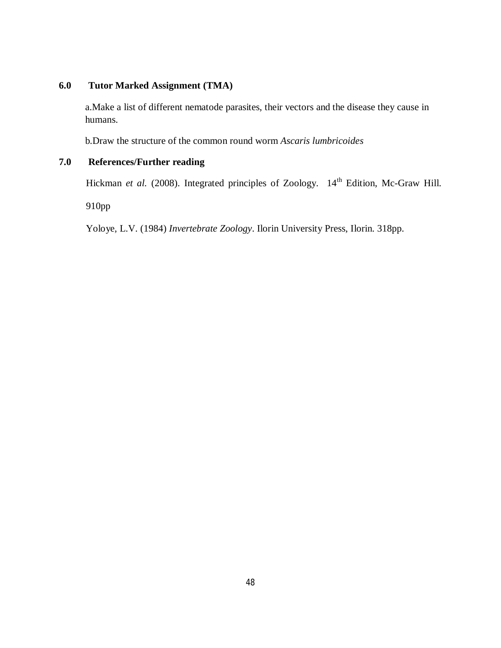### **6.0 Tutor Marked Assignment (TMA)**

a.Make a list of different nematode parasites, their vectors and the disease they cause in humans.

b.Draw the structure of the common round worm *Ascaris lumbricoides*

### **7.0 References/Further reading**

Hickman *et al.* (2008). Integrated principles of Zoology. 14<sup>th</sup> Edition, Mc-Graw Hill.

910pp

Yoloye, L.V. (1984) *Invertebrate Zoology*. Ilorin University Press, Ilorin. 318pp.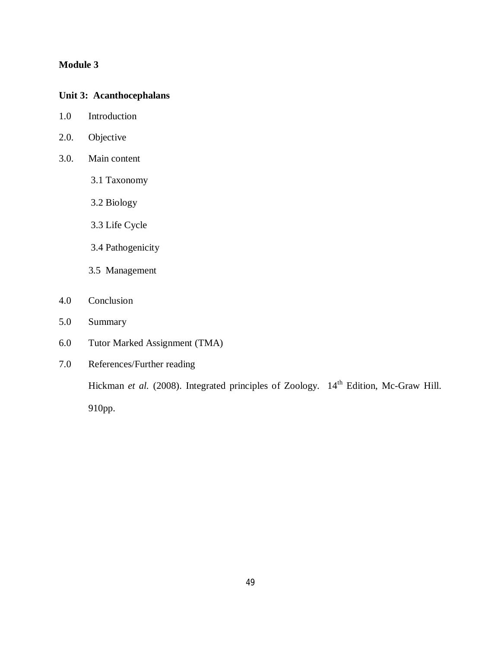### **Unit 3: Acanthocephalans**

- 1.0 Introduction
- 2.0. Objective
- 3.0. Main content
	- 3.1 Taxonomy
	- 3.2 Biology
	- 3.3 Life Cycle
	- 3.4 Pathogenicity
	- 3.5 Management
- 4.0 Conclusion
- 5.0 Summary
- 6.0 Tutor Marked Assignment (TMA)
- 7.0 References/Further reading

Hickman *et al.* (2008). Integrated principles of Zoology. 14<sup>th</sup> Edition, Mc-Graw Hill. 910pp.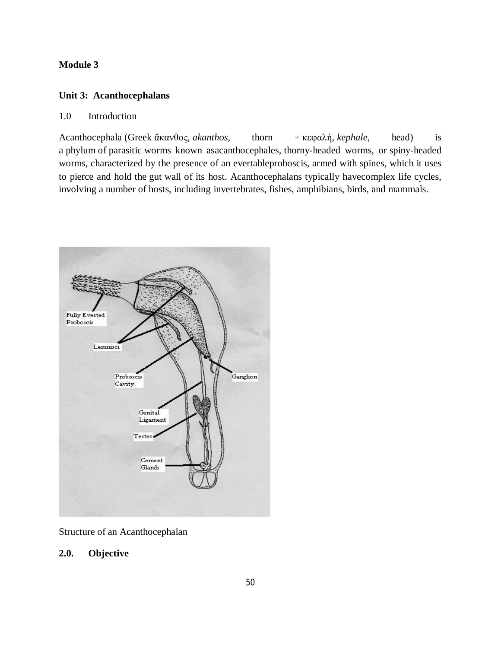### **Unit 3: Acanthocephalans**

### 1.0 Introduction

Acanthocephala (Greek ἄκανθος, *akanthos*, thorn + κεφαλή, *kephale*, head) is a phylum of parasitic worms known asacanthocephales, thorny-headed worms, or spiny-headed worms, characterized by the presence of an evertableproboscis, armed with spines, which it uses to pierce and hold the gut wall of its host. Acanthocephalans typically havecomplex life cycles, involving a number of hosts, including invertebrates, fishes, amphibians, birds, and mammals.



Structure of an Acanthocephalan

### **2.0. Objective**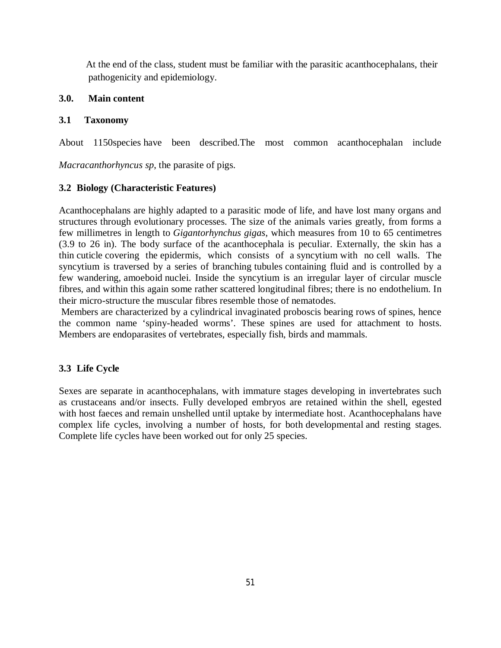At the end of the class, student must be familiar with the parasitic acanthocephalans, their pathogenicity and epidemiology.

### **3.0. Main content**

#### **3.1 Taxonomy**

About 1150species have been described.The most common acanthocephalan include

*Macracanthorhyncus sp*, the parasite of pigs.

### **3.2 Biology (Characteristic Features)**

Acanthocephalans are highly adapted to a parasitic mode of life, and have lost many organs and structures through evolutionary processes. The size of the animals varies greatly, from forms a few millimetres in length to *Gigantorhynchus gigas*, which measures from 10 to 65 centimetres (3.9 to 26 in). The body surface of the acanthocephala is peculiar. Externally, the skin has a thin cuticle covering the epidermis, which consists of a syncytium with no cell walls. The syncytium is traversed by a series of branching tubules containing fluid and is controlled by a few wandering, amoeboid nuclei. Inside the syncytium is an irregular layer of circular muscle fibres, and within this again some rather scattered longitudinal fibres; there is no endothelium. In their micro-structure the muscular fibres resemble those of nematodes.

Members are characterized by a cylindrical invaginated proboscis bearing rows of spines, hence the common name 'spiny-headed worms'. These spines are used for attachment to hosts. Members are endoparasites of vertebrates, especially fish, birds and mammals.

### **3.3 Life Cycle**

Sexes are separate in acanthocephalans, with immature stages developing in invertebrates such as crustaceans and/or insects. Fully developed embryos are retained within the shell, egested with host faeces and remain unshelled until uptake by intermediate host. Acanthocephalans have complex life cycles, involving a number of hosts, for both developmental and resting stages. Complete life cycles have been worked out for only 25 species.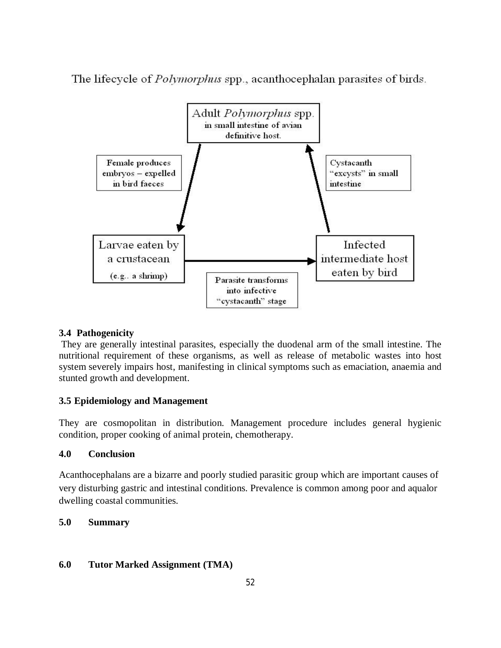The lifecycle of *Polymorphus* spp., acanthocephalan parasites of birds.



### **3.4 Pathogenicity**

They are generally intestinal parasites, especially the duodenal arm of the small intestine. The nutritional requirement of these organisms, as well as release of metabolic wastes into host system severely impairs host, manifesting in clinical symptoms such as emaciation, anaemia and stunted growth and development.

### **3.5 Epidemiology and Management**

They are cosmopolitan in distribution. Management procedure includes general hygienic condition, proper cooking of animal protein, chemotherapy.

### **4.0 Conclusion**

Acanthocephalans are a bizarre and poorly studied parasitic group which are important causes of very disturbing gastric and intestinal conditions. Prevalence is common among poor and aqualor dwelling coastal communities.

### **5.0 Summary**

### **6.0 Tutor Marked Assignment (TMA)**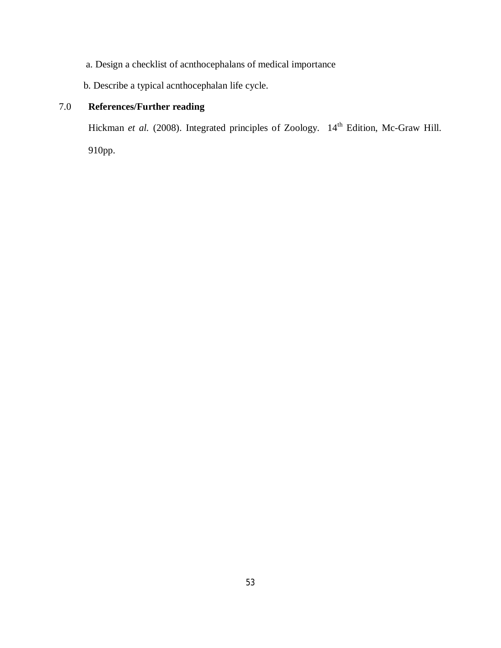- a. Design a checklist of acnthocephalans of medical importance
- b. Describe a typical acnthocephalan life cycle.

### 7.0 **References/Further reading**

Hickman *et al.* (2008). Integrated principles of Zoology. 14<sup>th</sup> Edition, Mc-Graw Hill. 910pp.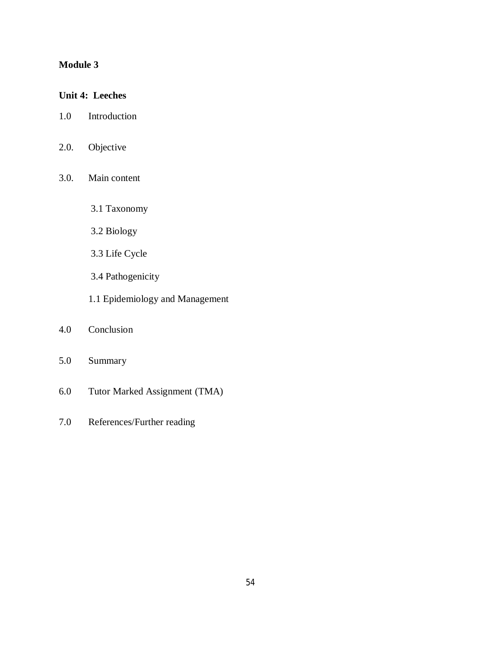### **Unit 4: Leeches**

- 1.0 Introduction
- 2.0. Objective
- 3.0. Main content
	- 3.1 Taxonomy
	- 3.2 Biology
	- 3.3 Life Cycle
	- 3.4 Pathogenicity
	- 1.1 Epidemiology and Management
- 4.0 Conclusion
- 5.0 Summary
- 6.0 Tutor Marked Assignment (TMA)
- 7.0 References/Further reading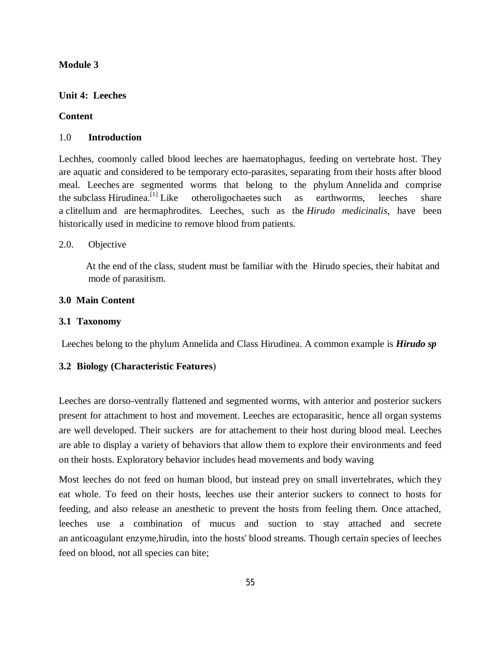#### **Unit 4: Leeches**

#### **Content**

#### 1.0 **Introduction**

Lechhes, coomonly called blood leeches are haematophagus, feeding on vertebrate host. They are aquatic and considered to be temporary ecto-parasites, separating from their hosts after blood meal. Leeches are segmented worms that belong to the phylum Annelida and comprise the subclass Hirudinea.<sup>[1]</sup> Like [1] Like otheroligochaetes such as earthworms, leeches share a clitellum and are hermaphrodites. Leeches, such as the *Hirudo medicinalis*, have been historically used in medicine to remove blood from patients.

#### 2.0. Objective

 At the end of the class, student must be familiar with the Hirudo species, their habitat and mode of parasitism.

#### **3.0 Main Content**

#### **3.1 Taxonomy**

Leeches belong to the phylum Annelida and Class Hirudinea. A common example is *Hirudo sp*

#### **3.2 Biology (Characteristic Features**)

Leeches are dorso-ventrally flattened and segmented worms, with anterior and posterior suckers present for attachment to host and movement. Leeches are ectoparasitic, hence all organ systems are well developed. Their suckers are for attachement to their host during blood meal. Leeches are able to display a variety of behaviors that allow them to explore their environments and feed on their hosts. Exploratory behavior includes head movements and body waving

Most leeches do not feed on human blood, but instead prey on small invertebrates, which they eat whole. To feed on their hosts, leeches use their anterior suckers to connect to hosts for feeding, and also release an anesthetic to prevent the hosts from feeling them. Once attached, leeches use a combination of mucus and suction to stay attached and secrete an anticoagulant enzyme,hirudin, into the hosts' blood streams. Though certain species of leeches feed on blood, not all species can bite;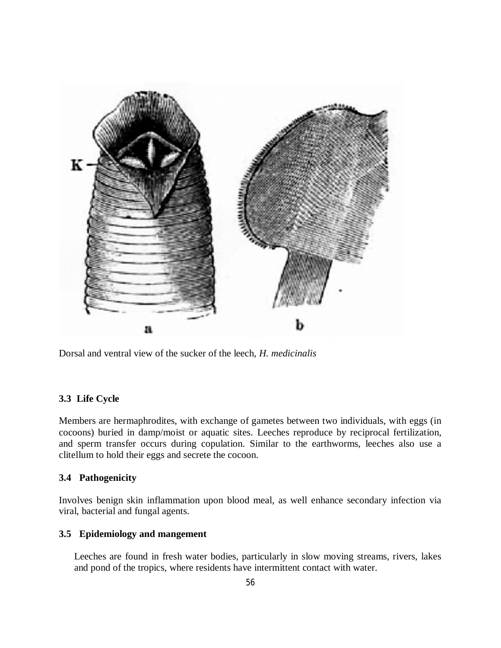

Dorsal and ventral view of the sucker of the leech, *H. medicinalis*

### **3.3 Life Cycle**

Members are hermaphrodites, with exchange of gametes between two individuals, with eggs (in cocoons) buried in damp/moist or aquatic sites. Leeches reproduce by reciprocal fertilization, and sperm transfer occurs during copulation. Similar to the earthworms, leeches also use a clitellum to hold their eggs and secrete the cocoon.

### **3.4 Pathogenicity**

Involves benign skin inflammation upon blood meal, as well enhance secondary infection via viral, bacterial and fungal agents.

#### **3.5 Epidemiology and mangement**

Leeches are found in fresh water bodies, particularly in slow moving streams, rivers, lakes and pond of the tropics, where residents have intermittent contact with water.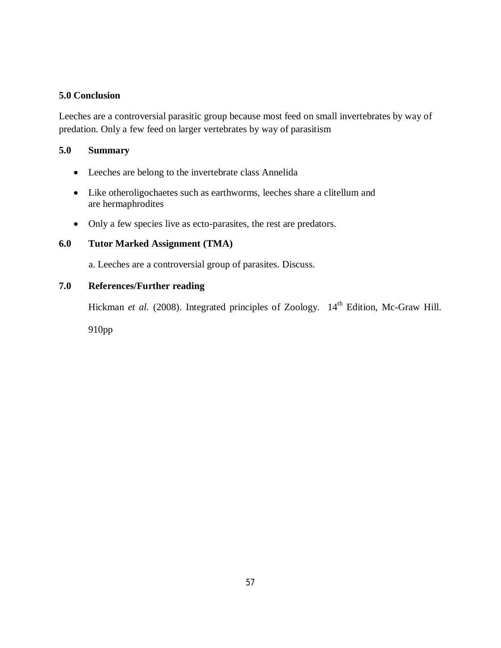### **5.0 Conclusion**

Leeches are a controversial parasitic group because most feed on small invertebrates by way of predation. Only a few feed on larger vertebrates by way of parasitism

### **5.0 Summary**

- Leeches are belong to the invertebrate class Annelida
- Like otheroligochaetes such as earthworms, leeches share a clitellum and are hermaphrodites
- Only a few species live as ecto-parasites, the rest are predators.

### **6.0 Tutor Marked Assignment (TMA)**

a. Leeches are a controversial group of parasites. Discuss.

### **7.0 References/Further reading**

Hickman *et al.* (2008). Integrated principles of Zoology. 14<sup>th</sup> Edition, Mc-Graw Hill.

910pp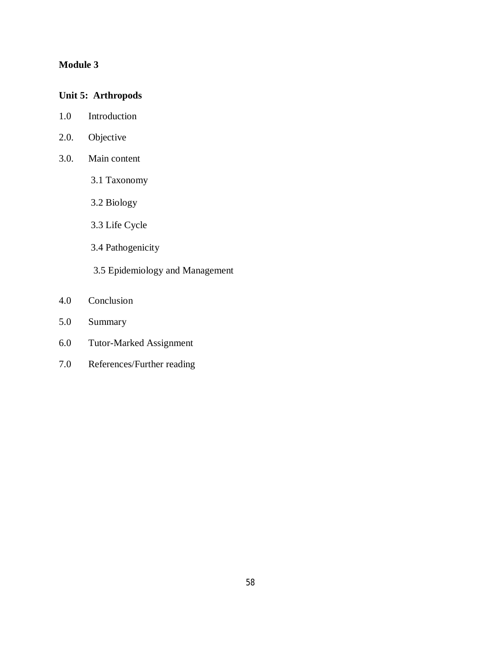### **Unit 5: Arthropods**

- 1.0 Introduction
- 2.0. Objective
- 3.0. Main content
	- 3.1 Taxonomy
	- 3.2 Biology
	- 3.3 Life Cycle
	- 3.4 Pathogenicity
	- 3.5 Epidemiology and Management
- 4.0 Conclusion
- 5.0 Summary
- 6.0 Tutor-Marked Assignment
- 7.0 References/Further reading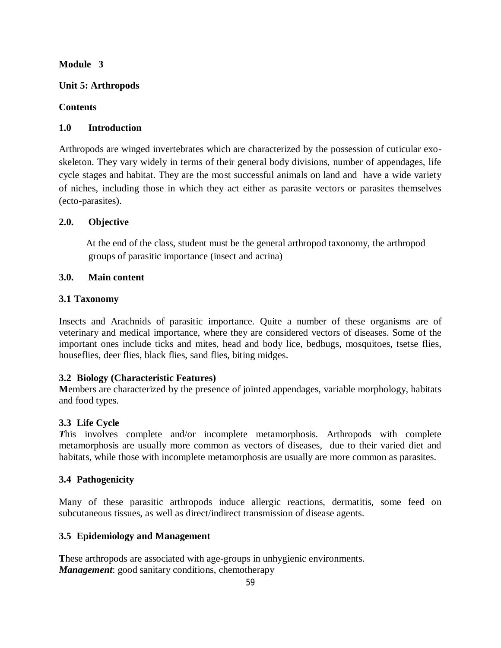### **Unit 5: Arthropods**

### **Contents**

### **1.0 Introduction**

Arthropods are winged invertebrates which are characterized by the possession of cuticular exoskeleton. They vary widely in terms of their general body divisions, number of appendages, life cycle stages and habitat. They are the most successful animals on land and have a wide variety of niches, including those in which they act either as parasite vectors or parasites themselves (ecto-parasites).

### **2.0. Objective**

 At the end of the class, student must be the general arthropod taxonomy, the arthropod groups of parasitic importance (insect and acrina)

### **3.0. Main content**

### **3.1 Taxonomy**

Insects and Arachnids of parasitic importance. Quite a number of these organisms are of veterinary and medical importance, where they are considered vectors of diseases. Some of the important ones include ticks and mites, head and body lice, bedbugs, mosquitoes, tsetse flies, houseflies, deer flies, black flies, sand flies, biting midges.

### **3.2 Biology (Characteristic Features)**

**M**embers are characterized by the presence of jointed appendages, variable morphology, habitats and food types.

### **3.3 Life Cycle**

*T*his involves complete and/or incomplete metamorphosis. Arthropods with complete metamorphosis are usually more common as vectors of diseases, due to their varied diet and habitats, while those with incomplete metamorphosis are usually are more common as parasites.

### **3.4 Pathogenicity**

Many of these parasitic arthropods induce allergic reactions, dermatitis, some feed on subcutaneous tissues, as well as direct/indirect transmission of disease agents.

### **3.5 Epidemiology and Management**

**T**hese arthropods are associated with age-groups in unhygienic environments. *Management*: good sanitary conditions, chemotherapy